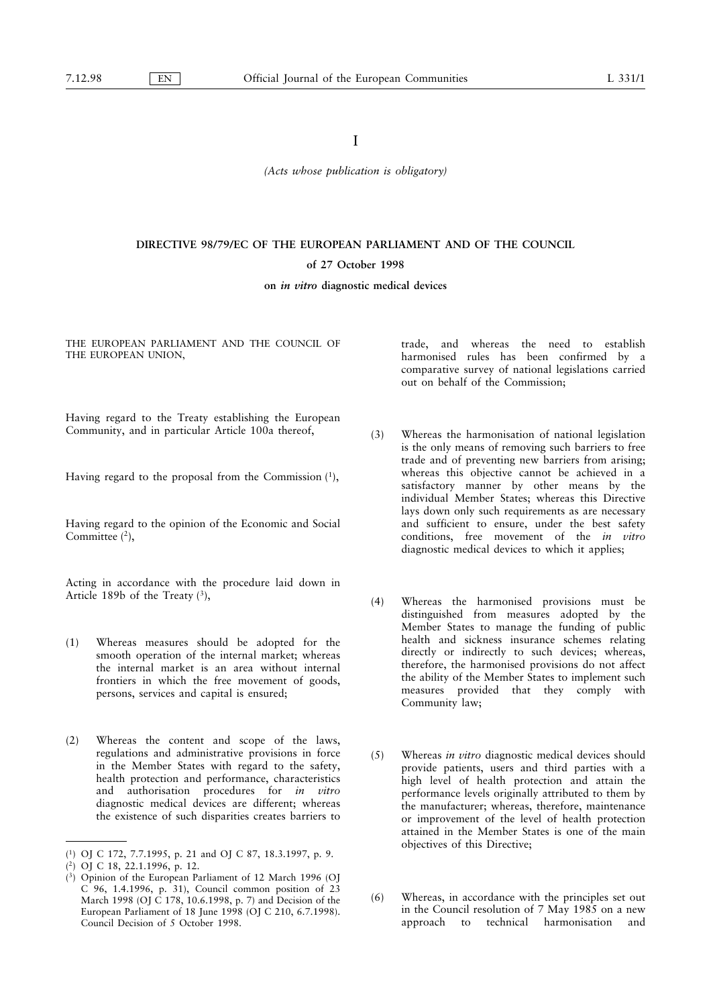I

*(Acts whose publication is obligatory)*

# **DIRECTIVE 98/79/EC OF THE EUROPEAN PARLIAMENT AND OF THE COUNCIL**

**of 27 October 1998**

**on** *in vitro* **diagnostic medical devices**

THE EUROPEAN PARLIAMENT AND THE COUNCIL OF THE EUROPEAN UNION,

Having regard to the Treaty establishing the European Community, and in particular Article 100a thereof,

Having regard to the proposal from the Commission  $(1)$ ,

Having regard to the opinion of the Economic and Social Committee  $(^2)$ ,

Acting in accordance with the procedure laid down in Article 189b of the Treaty  $(3)$ ,

- (1) Whereas measures should be adopted for the smooth operation of the internal market; whereas the internal market is an area without internal frontiers in which the free movement of goods, persons, services and capital is ensured;
- (2) Whereas the content and scope of the laws, regulations and administrative provisions in force in the Member States with regard to the safety, health protection and performance, characteristics and authorisation procedures for *in vitro* diagnostic medical devices are different; whereas the existence of such disparities creates barriers to

trade, and whereas the need to establish harmonised rules has been confirmed by a comparative survey of national legislations carried out on behalf of the Commission;

- (3) Whereas the harmonisation of national legislation is the only means of removing such barriers to free trade and of preventing new barriers from arising; whereas this objective cannot be achieved in a satisfactory manner by other means by the individual Member States; whereas this Directive lays down only such requirements as are necessary and sufficient to ensure, under the best safety conditions, free movement of the *in vitro* diagnostic medical devices to which it applies;
- (4) Whereas the harmonised provisions must be distinguished from measures adopted by the Member States to manage the funding of public health and sickness insurance schemes relating directly or indirectly to such devices; whereas, therefore, the harmonised provisions do not affect the ability of the Member States to implement such measures provided that they comply with Community law;
- (5) Whereas *in vitro* diagnostic medical devices should provide patients, users and third parties with a high level of health protection and attain the performance levels originally attributed to them by the manufacturer; whereas, therefore, maintenance or improvement of the level of health protection attained in the Member States is one of the main objectives of this Directive;
- (6) Whereas, in accordance with the principles set out in the Council resolution of 7 May 1985 on a new approach to technical harmonisation and

<sup>(</sup> 1) OJ C 172, 7.7.1995, p. 21 and OJ C 87, 18.3.1997, p. 9.

<sup>(</sup> 2) OJ C 18, 22.1.1996, p. 12.

<sup>(</sup> 3) Opinion of the European Parliament of 12 March 1996 (OJ C 96, 1.4.1996, p. 31), Council common position of 23 March 1998 (OJ C 178, 10.6.1998, p. 7) and Decision of the European Parliament of 18 June 1998 (OJ C 210, 6.7.1998). Council Decision of 5 October 1998.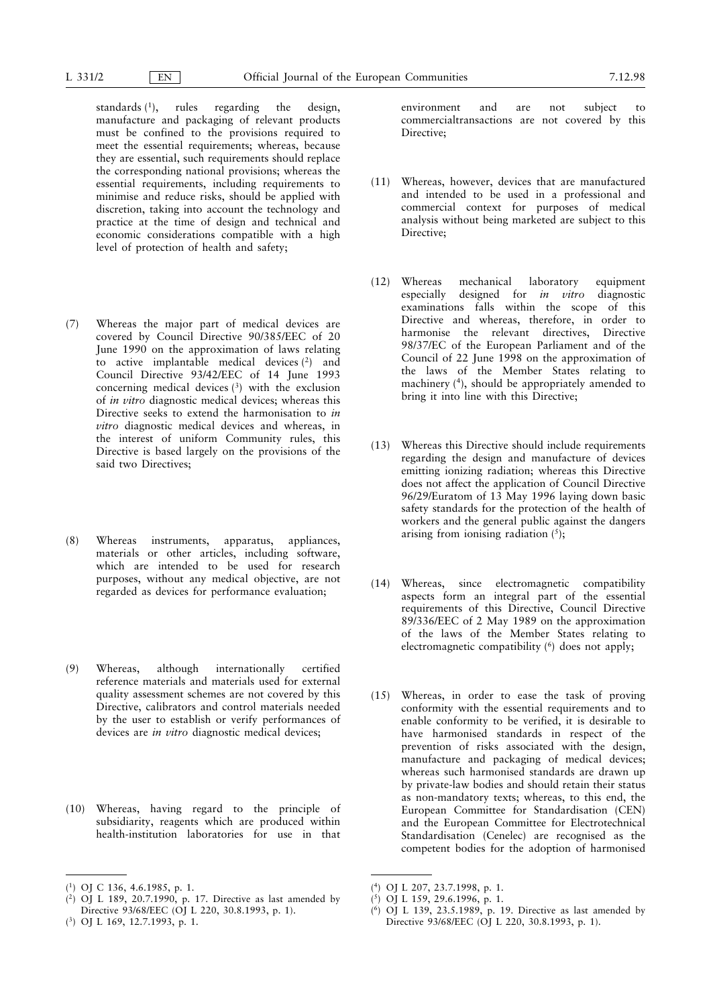standards  $(1)$ , rules regarding the design, manufacture and packaging of relevant products must be confined to the provisions required to meet the essential requirements; whereas, because they are essential, such requirements should replace the corresponding national provisions; whereas the essential requirements, including requirements to minimise and reduce risks, should be applied with discretion, taking into account the technology and practice at the time of design and technical and economic considerations compatible with a high level of protection of health and safety;

- (7) Whereas the major part of medical devices are covered by Council Directive 90/385/EEC of 20 June 1990 on the approximation of laws relating to active implantable medical devices  $(2)$  and Council Directive 93/42/EEC of 14 June 1993 concerning medical devices  $(3)$  with the exclusion of *in vitro* diagnostic medical devices; whereas this Directive seeks to extend the harmonisation to *in vitro* diagnostic medical devices and whereas, in the interest of uniform Community rules, this Directive is based largely on the provisions of the said two Directives;
- (8) Whereas instruments, apparatus, appliances, materials or other articles, including software, which are intended to be used for research purposes, without any medical objective, are not regarded as devices for performance evaluation;
- (9) Whereas, although internationally certified reference materials and materials used for external quality assessment schemes are not covered by this Directive, calibrators and control materials needed by the user to establish or verify performances of devices are *in vitro* diagnostic medical devices;
- (10) Whereas, having regard to the principle of subsidiarity, reagents which are produced within health-institution laboratories for use in that

( 3) OJ L 169, 12.7.1993, p. 1.

environment and are not subject to commercialtransactions are not covered by this Directive;

- (11) Whereas, however, devices that are manufactured and intended to be used in a professional and commercial context for purposes of medical analysis without being marketed are subject to this Directive;
- (12) Whereas mechanical laboratory equipment especially designed for *in vitro* diagnostic examinations falls within the scope of this Directive and whereas, therefore, in order to harmonise the relevant directives, Directive 98/37/EC of the European Parliament and of the Council of 22 June 1998 on the approximation of the laws of the Member States relating to machinery (4), should be appropriately amended to bring it into line with this Directive;
- (13) Whereas this Directive should include requirements regarding the design and manufacture of devices emitting ionizing radiation; whereas this Directive does not affect the application of Council Directive 96/29/Euratom of 13 May 1996 laying down basic safety standards for the protection of the health of workers and the general public against the dangers arising from ionising radiation  $(5)$ ;
- (14) Whereas, since electromagnetic compatibility aspects form an integral part of the essential requirements of this Directive, Council Directive 89/336/EEC of 2 May 1989 on the approximation of the laws of the Member States relating to electromagnetic compatibility (<sup>6</sup>) does not apply;
- (15) Whereas, in order to ease the task of proving conformity with the essential requirements and to enable conformity to be verified, it is desirable to have harmonised standards in respect of the prevention of risks associated with the design, manufacture and packaging of medical devices; whereas such harmonised standards are drawn up by private-law bodies and should retain their status as non-mandatory texts; whereas, to this end, the European Committee for Standardisation (CEN) and the European Committee for Electrotechnical Standardisation (Cenelec) are recognised as the competent bodies for the adoption of harmonised

<sup>(</sup> 1) OJ C 136, 4.6.1985, p. 1.

<sup>(</sup> 2) OJ L 189, 20.7.1990, p. 17. Directive as last amended by Directive 93/68/EEC (OJ L 220, 30.8.1993, p. 1).

<sup>(</sup> 4) OJ L 207, 23.7.1998, p. 1.

<sup>(</sup> 5) OJ L 159, 29.6.1996, p. 1.

<sup>(</sup> 6) OJ L 139, 23.5.1989, p. 19. Directive as last amended by Directive 93/68/EEC (OJ L 220, 30.8.1993, p. 1).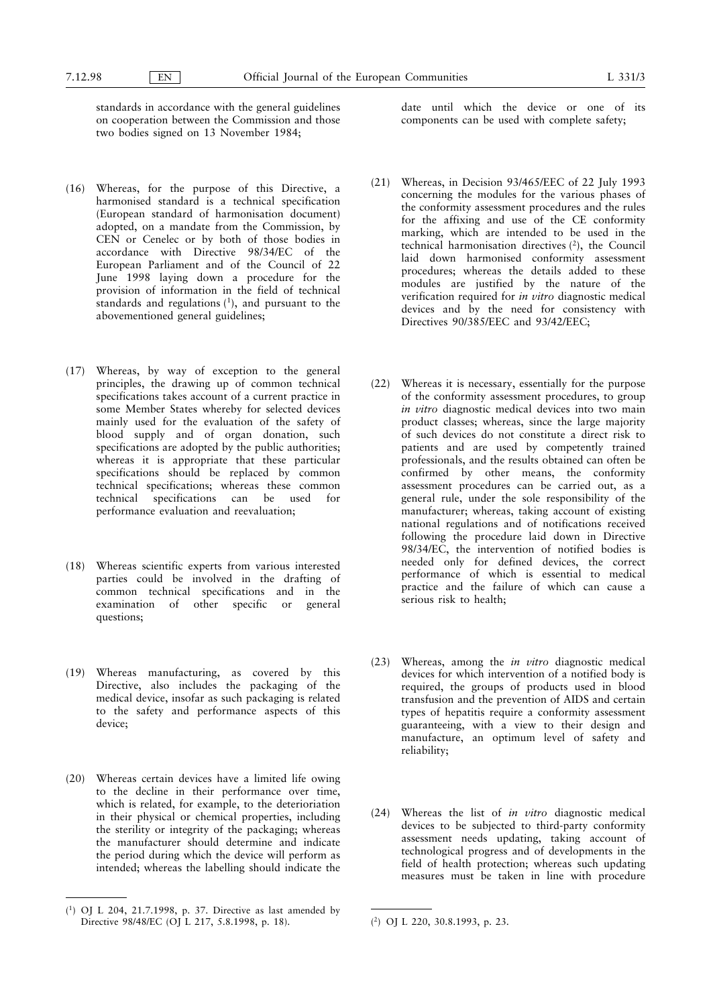standards in accordance with the general guidelines on cooperation between the Commission and those two bodies signed on 13 November 1984;

- (16) Whereas, for the purpose of this Directive, a harmonised standard is a technical specification (European standard of harmonisation document) adopted, on a mandate from the Commission, by CEN or Cenelec or by both of those bodies in accordance with Directive 98/34/EC of the European Parliament and of the Council of 22 June 1998 laying down a procedure for the provision of information in the field of technical standards and regulations  $(1)$ , and pursuant to the abovementioned general guidelines;
- (17) Whereas, by way of exception to the general principles, the drawing up of common technical specifications takes account of a current practice in some Member States whereby for selected devices mainly used for the evaluation of the safety of blood supply and of organ donation, such specifications are adopted by the public authorities; whereas it is appropriate that these particular specifications should be replaced by common technical specifications; whereas these common technical specifications can be used for performance evaluation and reevaluation;
- (18) Whereas scientific experts from various interested parties could be involved in the drafting of common technical specifications and in the examination of other specific or general questions;
- (19) Whereas manufacturing, as covered by this Directive, also includes the packaging of the medical device, insofar as such packaging is related to the safety and performance aspects of this device;
- (20) Whereas certain devices have a limited life owing to the decline in their performance over time, which is related, for example, to the deterioriation in their physical or chemical properties, including the sterility or integrity of the packaging; whereas the manufacturer should determine and indicate the period during which the device will perform as intended; whereas the labelling should indicate the

date until which the device or one of its components can be used with complete safety;

- (21) Whereas, in Decision 93/465/EEC of 22 July 1993 concerning the modules for the various phases of the conformity assessment procedures and the rules for the affixing and use of the CE conformity marking, which are intended to be used in the technical harmonisation directives  $(2)$ , the Council laid down harmonised conformity assessment procedures; whereas the details added to these modules are justified by the nature of the verification required for *in vitro* diagnostic medical devices and by the need for consistency with Directives 90/385/EEC and 93/42/EEC;
- (22) Whereas it is necessary, essentially for the purpose of the conformity assessment procedures, to group *in vitro* diagnostic medical devices into two main product classes; whereas, since the large majority of such devices do not constitute a direct risk to patients and are used by competently trained professionals, and the results obtained can often be confirmed by other means, the conformity assessment procedures can be carried out, as a general rule, under the sole responsibility of the manufacturer; whereas, taking account of existing national regulations and of notifications received following the procedure laid down in Directive 98/34/EC, the intervention of notified bodies is needed only for defined devices, the correct performance of which is essential to medical practice and the failure of which can cause a serious risk to health;
- (23) Whereas, among the *in vitro* diagnostic medical devices for which intervention of a notified body is required, the groups of products used in blood transfusion and the prevention of AIDS and certain types of hepatitis require a conformity assessment guaranteeing, with a view to their design and manufacture, an optimum level of safety and reliability;
- (24) Whereas the list of *in vitro* diagnostic medical devices to be subjected to third-party conformity assessment needs updating, taking account of technological progress and of developments in the field of health protection; whereas such updating measures must be taken in line with procedure

<sup>(</sup> 1) OJ L 204, 21.7.1998, p. 37. Directive as last amended by Directive 98/48/EC (OJ L 217, 5.8.1998, p. 18).

<sup>(</sup> 2) OJ L 220, 30.8.1993, p. 23.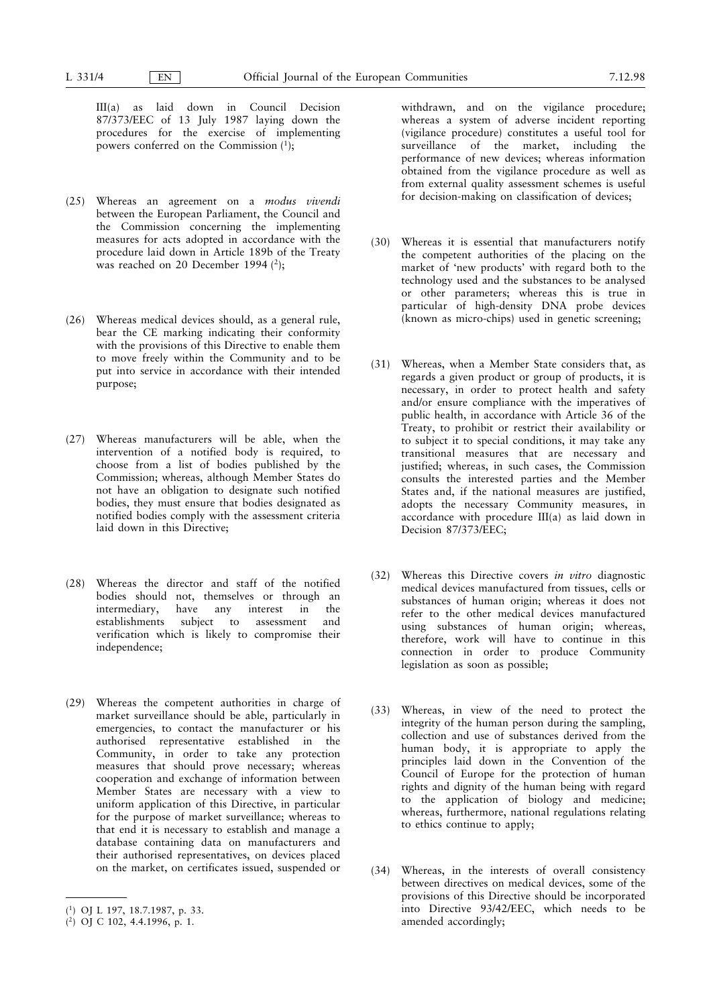III(a) as laid down in Council Decision 87/373/EEC of 13 July 1987 laying down the procedures for the exercise of implementing powers conferred on the Commission  $(1)$ ;

- (25) Whereas an agreement on a *modus vivendi* between the European Parliament, the Council and the Commission concerning the implementing measures for acts adopted in accordance with the procedure laid down in Article 189b of the Treaty was reached on 20 December 1994  $(2)$ ;
- (26) Whereas medical devices should, as a general rule, bear the CE marking indicating their conformity with the provisions of this Directive to enable them to move freely within the Community and to be put into service in accordance with their intended purpose;
- (27) Whereas manufacturers will be able, when the intervention of a notified body is required, to choose from a list of bodies published by the Commission; whereas, although Member States do not have an obligation to designate such notified bodies, they must ensure that bodies designated as notified bodies comply with the assessment criteria laid down in this Directive;
- (28) Whereas the director and staff of the notified bodies should not, themselves or through an intermediary, have any interest in the establishments subject to assessment and verification which is likely to compromise their independence;
- (29) Whereas the competent authorities in charge of market surveillance should be able, particularly in emergencies, to contact the manufacturer or his authorised representative established in the Community, in order to take any protection measures that should prove necessary; whereas cooperation and exchange of information between Member States are necessary with a view to uniform application of this Directive, in particular for the purpose of market surveillance; whereas to that end it is necessary to establish and manage a database containing data on manufacturers and their authorised representatives, on devices placed on the market, on certificates issued, suspended or

withdrawn, and on the vigilance procedure; whereas a system of adverse incident reporting (vigilance procedure) constitutes a useful tool for surveillance of the market, including the performance of new devices; whereas information obtained from the vigilance procedure as well as from external quality assessment schemes is useful for decision-making on classification of devices;

- (30) Whereas it is essential that manufacturers notify the competent authorities of the placing on the market of 'new products' with regard both to the technology used and the substances to be analysed or other parameters; whereas this is true in particular of high-density DNA probe devices (known as micro-chips) used in genetic screening;
- (31) Whereas, when a Member State considers that, as regards a given product or group of products, it is necessary, in order to protect health and safety and/or ensure compliance with the imperatives of public health, in accordance with Article 36 of the Treaty, to prohibit or restrict their availability or to subject it to special conditions, it may take any transitional measures that are necessary and justified; whereas, in such cases, the Commission consults the interested parties and the Member States and, if the national measures are justified, adopts the necessary Community measures, in accordance with procedure III(a) as laid down in Decision 87/373/EEC;
- (32) Whereas this Directive covers *in vitro* diagnostic medical devices manufactured from tissues, cells or substances of human origin; whereas it does not refer to the other medical devices manufactured using substances of human origin; whereas, therefore, work will have to continue in this connection in order to produce Community legislation as soon as possible;
- (33) Whereas, in view of the need to protect the integrity of the human person during the sampling, collection and use of substances derived from the human body, it is appropriate to apply the principles laid down in the Convention of the Council of Europe for the protection of human rights and dignity of the human being with regard to the application of biology and medicine; whereas, furthermore, national regulations relating to ethics continue to apply;
- (34) Whereas, in the interests of overall consistency between directives on medical devices, some of the provisions of this Directive should be incorporated into Directive 93/42/EEC, which needs to be amended accordingly;

<sup>(</sup> 1) OJ L 197, 18.7.1987, p. 33.

<sup>(</sup> 2) OJ C 102, 4.4.1996, p. 1.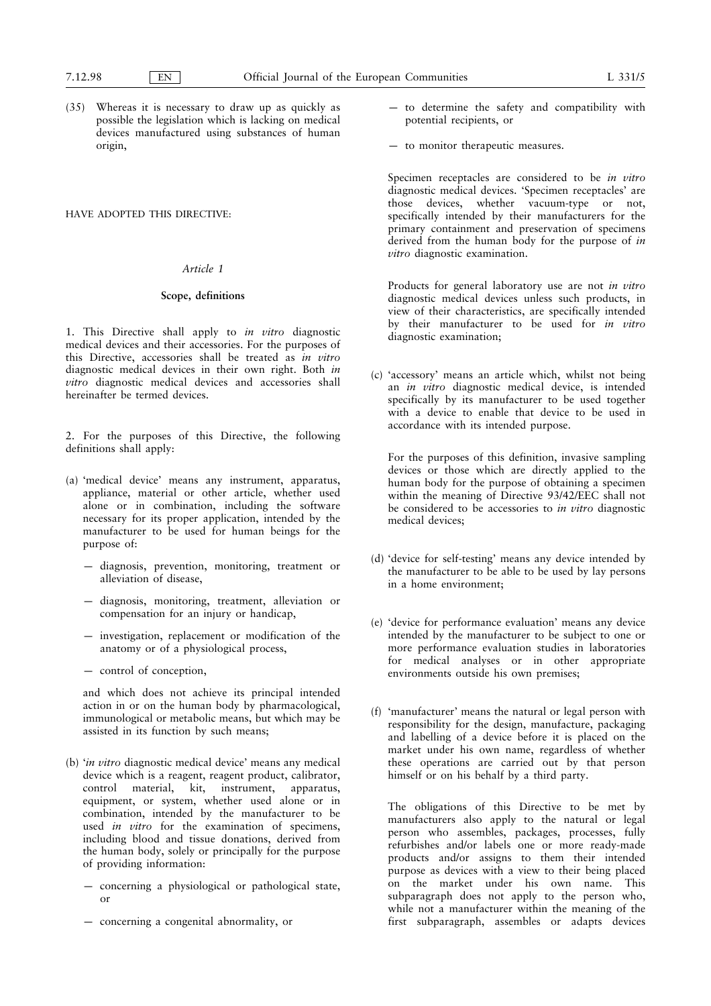(35) Whereas it is necessary to draw up as quickly as possible the legislation which is lacking on medical devices manufactured using substances of human origin,

### HAVE ADOPTED THIS DIRECTIVE:

# *Article 1*

## **Scope, definitions**

1. This Directive shall apply to *in vitro* diagnostic medical devices and their accessories. For the purposes of this Directive, accessories shall be treated as *in vitro* diagnostic medical devices in their own right. Both *in vitro* diagnostic medical devices and accessories shall hereinafter be termed devices.

2. For the purposes of this Directive, the following definitions shall apply:

- (a) 'medical device' means any instrument, apparatus, appliance, material or other article, whether used alone or in combination, including the software necessary for its proper application, intended by the manufacturer to be used for human beings for the purpose of:
	- diagnosis, prevention, monitoring, treatment or alleviation of disease,
	- diagnosis, monitoring, treatment, alleviation or compensation for an injury or handicap,
	- investigation, replacement or modification of the anatomy or of a physiological process,
	- control of conception,

and which does not achieve its principal intended action in or on the human body by pharmacological, immunological or metabolic means, but which may be assisted in its function by such means;

- (b) '*in vitro* diagnostic medical device' means any medical device which is a reagent, reagent product, calibrator, control material, kit, instrument, apparatus, equipment, or system, whether used alone or in combination, intended by the manufacturer to be used *in vitro* for the examination of specimens, including blood and tissue donations, derived from the human body, solely or principally for the purpose of providing information:
	- concerning a physiological or pathological state, or
	- concerning a congenital abnormality, or
- to determine the safety and compatibility with potential recipients, or
- to monitor therapeutic measures.

Specimen receptacles are considered to be *in vitro* diagnostic medical devices. 'Specimen receptacles' are those devices, whether vacuum-type or not, specifically intended by their manufacturers for the primary containment and preservation of specimens derived from the human body for the purpose of *in vitro* diagnostic examination.

Products for general laboratory use are not *in vitro* diagnostic medical devices unless such products, in view of their characteristics, are specifically intended by their manufacturer to be used for *in vitro* diagnostic examination;

(c) 'accessory' means an article which, whilst not being an *in vitro* diagnostic medical device, is intended specifically by its manufacturer to be used together with a device to enable that device to be used in accordance with its intended purpose.

For the purposes of this definition, invasive sampling devices or those which are directly applied to the human body for the purpose of obtaining a specimen within the meaning of Directive 93/42/EEC shall not be considered to be accessories to *in vitro* diagnostic medical devices;

- (d) 'device for self-testing' means any device intended by the manufacturer to be able to be used by lay persons in a home environment;
- (e) 'device for performance evaluation' means any device intended by the manufacturer to be subject to one or more performance evaluation studies in laboratories for medical analyses or in other appropriate environments outside his own premises;
- (f) 'manufacturer' means the natural or legal person with responsibility for the design, manufacture, packaging and labelling of a device before it is placed on the market under his own name, regardless of whether these operations are carried out by that person himself or on his behalf by a third party.

The obligations of this Directive to be met by manufacturers also apply to the natural or legal person who assembles, packages, processes, fully refurbishes and/or labels one or more ready-made products and/or assigns to them their intended purpose as devices with a view to their being placed on the market under his own name. This subparagraph does not apply to the person who, while not a manufacturer within the meaning of the first subparagraph, assembles or adapts devices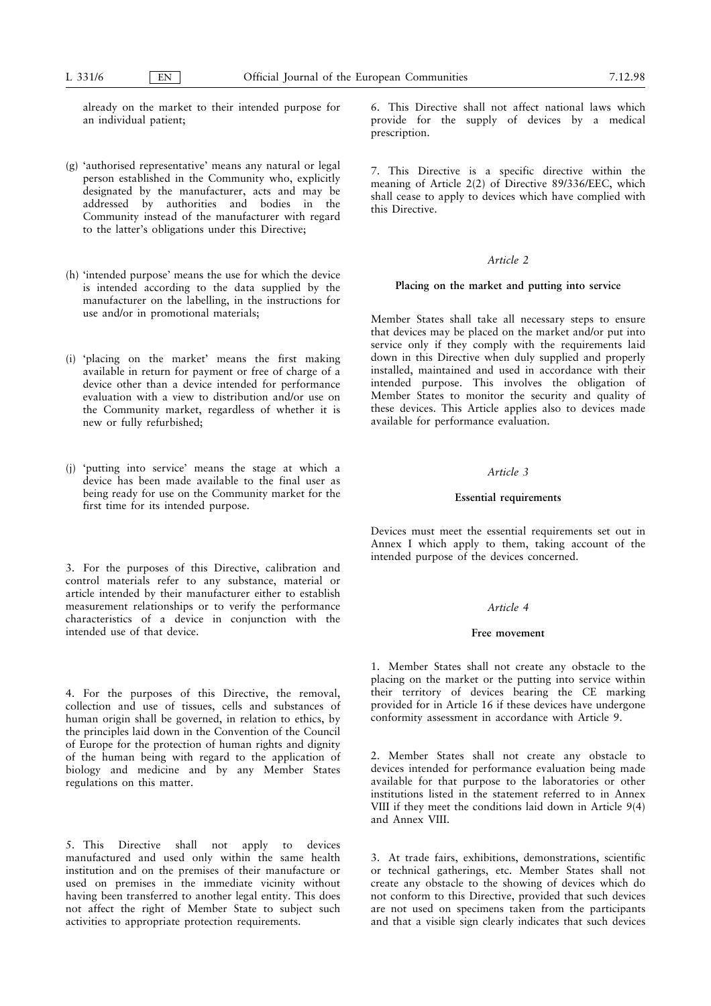already on the market to their intended purpose for an individual patient;

- (g) 'authorised representative' means any natural or legal person established in the Community who, explicitly designated by the manufacturer, acts and may be addressed by authorities and bodies in the Community instead of the manufacturer with regard to the latter's obligations under this Directive;
- (h) 'intended purpose' means the use for which the device is intended according to the data supplied by the manufacturer on the labelling, in the instructions for use and/or in promotional materials;
- (i) 'placing on the market' means the first making available in return for payment or free of charge of a device other than a device intended for performance evaluation with a view to distribution and/or use on the Community market, regardless of whether it is new or fully refurbished;
- (j) 'putting into service' means the stage at which a device has been made available to the final user as being ready for use on the Community market for the first time for its intended purpose.

3. For the purposes of this Directive, calibration and control materials refer to any substance, material or article intended by their manufacturer either to establish measurement relationships or to verify the performance characteristics of a device in conjunction with the intended use of that device.

4. For the purposes of this Directive, the removal, collection and use of tissues, cells and substances of human origin shall be governed, in relation to ethics, by the principles laid down in the Convention of the Council of Europe for the protection of human rights and dignity of the human being with regard to the application of biology and medicine and by any Member States regulations on this matter.

5. This Directive shall not apply to devices manufactured and used only within the same health institution and on the premises of their manufacture or used on premises in the immediate vicinity without having been transferred to another legal entity. This does not affect the right of Member State to subject such activities to appropriate protection requirements.

6. This Directive shall not affect national laws which provide for the supply of devices by a medical prescription.

7. This Directive is a specific directive within the meaning of Article 2(2) of Directive 89/336/EEC, which shall cease to apply to devices which have complied with this Directive.

### *Article 2*

### **Placing on the market and putting into service**

Member States shall take all necessary steps to ensure that devices may be placed on the market and/or put into service only if they comply with the requirements laid down in this Directive when duly supplied and properly installed, maintained and used in accordance with their intended purpose. This involves the obligation of Member States to monitor the security and quality of these devices. This Article applies also to devices made available for performance evaluation.

#### *Article 3*

### **Essential requirements**

Devices must meet the essential requirements set out in Annex I which apply to them, taking account of the intended purpose of the devices concerned.

# *Article 4*

#### **Free movement**

1. Member States shall not create any obstacle to the placing on the market or the putting into service within their territory of devices bearing the CE marking provided for in Article 16 if these devices have undergone conformity assessment in accordance with Article 9.

2. Member States shall not create any obstacle to devices intended for performance evaluation being made available for that purpose to the laboratories or other institutions listed in the statement referred to in Annex VIII if they meet the conditions laid down in Article 9(4) and Annex VIII.

3. At trade fairs, exhibitions, demonstrations, scientific or technical gatherings, etc. Member States shall not create any obstacle to the showing of devices which do not conform to this Directive, provided that such devices are not used on specimens taken from the participants and that a visible sign clearly indicates that such devices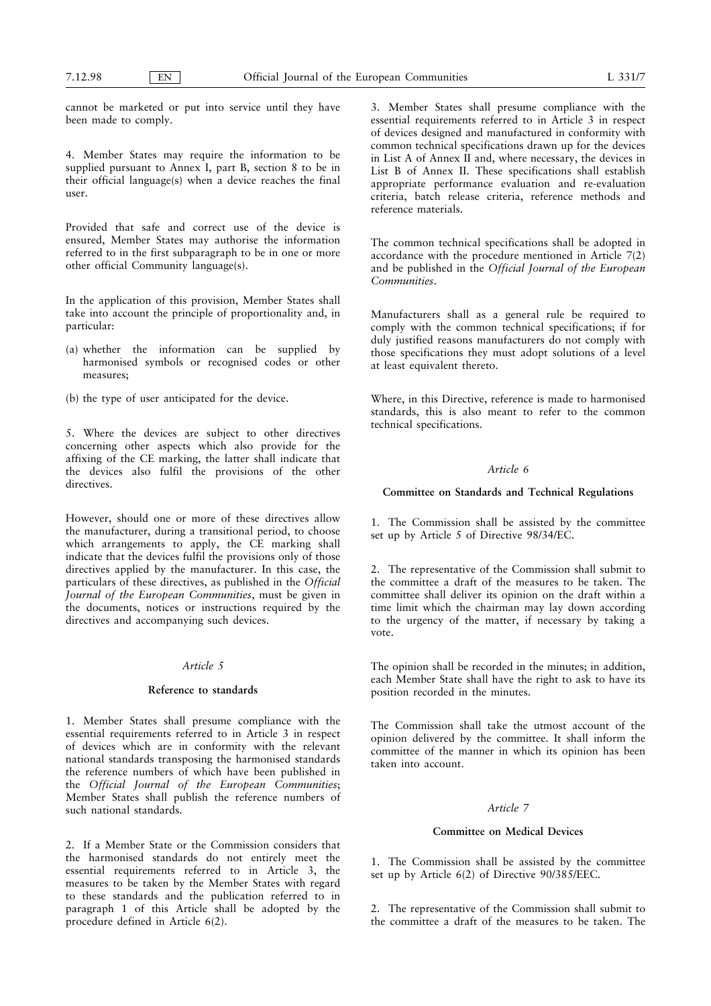cannot be marketed or put into service until they have been made to comply.

4. Member States may require the information to be supplied pursuant to Annex I, part B, section 8 to be in their official language(s) when a device reaches the final user.

Provided that safe and correct use of the device is ensured, Member States may authorise the information referred to in the first subparagraph to be in one or more other official Community language(s).

In the application of this provision, Member States shall take into account the principle of proportionality and, in particular:

- (a) whether the information can be supplied by harmonised symbols or recognised codes or other measures;
- (b) the type of user anticipated for the device.

5. Where the devices are subject to other directives concerning other aspects which also provide for the affixing of the CE marking, the latter shall indicate that the devices also fulfil the provisions of the other directives.

However, should one or more of these directives allow the manufacturer, during a transitional period, to choose which arrangements to apply, the CE marking shall indicate that the devices fulfil the provisions only of those directives applied by the manufacturer. In this case, the particulars of these directives, as published in the *Official Journal of the European Communities*, must be given in the documents, notices or instructions required by the directives and accompanying such devices.

### *Article 5*

### **Reference to standards**

1. Member States shall presume compliance with the essential requirements referred to in Article 3 in respect of devices which are in conformity with the relevant national standards transposing the harmonised standards the reference numbers of which have been published in the *Official Journal of the European Communities*; Member States shall publish the reference numbers of such national standards.

2. If a Member State or the Commission considers that the harmonised standards do not entirely meet the essential requirements referred to in Article 3, the measures to be taken by the Member States with regard to these standards and the publication referred to in paragraph 1 of this Article shall be adopted by the procedure defined in Article 6(2).

3. Member States shall presume compliance with the essential requirements referred to in Article 3 in respect of devices designed and manufactured in conformity with common technical specifications drawn up for the devices in List A of Annex II and, where necessary, the devices in List B of Annex II. These specifications shall establish appropriate performance evaluation and re-evaluation criteria, batch release criteria, reference methods and reference materials.

The common technical specifications shall be adopted in accordance with the procedure mentioned in Article 7(2) and be published in the *Official Journal of the European Communities*.

Manufacturers shall as a general rule be required to comply with the common technical specifications; if for duly justified reasons manufacturers do not comply with those specifications they must adopt solutions of a level at least equivalent thereto.

Where, in this Directive, reference is made to harmonised standards, this is also meant to refer to the common technical specifications.

## *Article 6*

## **Committee on Standards and Technical Regulations**

1. The Commission shall be assisted by the committee set up by Article 5 of Directive 98/34/EC.

2. The representative of the Commission shall submit to the committee a draft of the measures to be taken. The committee shall deliver its opinion on the draft within a time limit which the chairman may lay down according to the urgency of the matter, if necessary by taking a vote.

The opinion shall be recorded in the minutes; in addition, each Member State shall have the right to ask to have its position recorded in the minutes.

The Commission shall take the utmost account of the opinion delivered by the committee. It shall inform the committee of the manner in which its opinion has been taken into account.

#### *Article 7*

# **Committee on Medical Devices**

1. The Commission shall be assisted by the committee set up by Article 6(2) of Directive 90/385/EEC.

2. The representative of the Commission shall submit to the committee a draft of the measures to be taken. The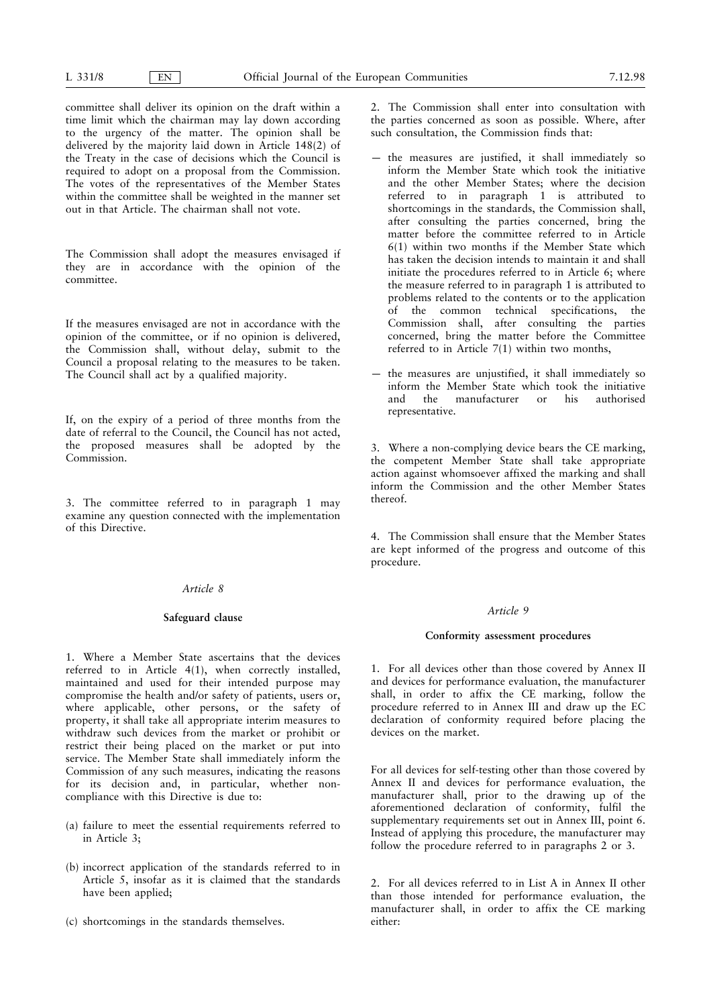committee shall deliver its opinion on the draft within a time limit which the chairman may lay down according to the urgency of the matter. The opinion shall be delivered by the majority laid down in Article 148(2) of the Treaty in the case of decisions which the Council is required to adopt on a proposal from the Commission. The votes of the representatives of the Member States within the committee shall be weighted in the manner set out in that Article. The chairman shall not vote.

The Commission shall adopt the measures envisaged if they are in accordance with the opinion of the committee.

If the measures envisaged are not in accordance with the opinion of the committee, or if no opinion is delivered, the Commission shall, without delay, submit to the Council a proposal relating to the measures to be taken. The Council shall act by a qualified majority.

If, on the expiry of a period of three months from the date of referral to the Council, the Council has not acted, the proposed measures shall be adopted by the Commission.

3. The committee referred to in paragraph 1 may examine any question connected with the implementation of this Directive.

### *Article 8*

### **Safeguard clause**

1. Where a Member State ascertains that the devices referred to in Article 4(1), when correctly installed, maintained and used for their intended purpose may compromise the health and/or safety of patients, users or, where applicable, other persons, or the safety of property, it shall take all appropriate interim measures to withdraw such devices from the market or prohibit or restrict their being placed on the market or put into service. The Member State shall immediately inform the Commission of any such measures, indicating the reasons for its decision and, in particular, whether noncompliance with this Directive is due to:

- (a) failure to meet the essential requirements referred to in Article 3;
- (b) incorrect application of the standards referred to in Article 5, insofar as it is claimed that the standards have been applied;
- (c) shortcomings in the standards themselves.

2. The Commission shall enter into consultation with the parties concerned as soon as possible. Where, after such consultation, the Commission finds that:

- the measures are justified, it shall immediately so inform the Member State which took the initiative and the other Member States; where the decision referred to in paragraph 1 is attributed to shortcomings in the standards, the Commission shall, after consulting the parties concerned, bring the matter before the committee referred to in Article 6(1) within two months if the Member State which has taken the decision intends to maintain it and shall initiate the procedures referred to in Article 6; where the measure referred to in paragraph 1 is attributed to problems related to the contents or to the application of the common technical specifications, the Commission shall, after consulting the parties concerned, bring the matter before the Committee referred to in Article 7(1) within two months,
- the measures are unjustified, it shall immediately so inform the Member State which took the initiative and the manufacturer or his authorised representative.

3. Where a non-complying device bears the CE marking, the competent Member State shall take appropriate action against whomsoever affixed the marking and shall inform the Commission and the other Member States thereof.

4. The Commission shall ensure that the Member States are kept informed of the progress and outcome of this procedure.

## *Article 9*

#### **Conformity assessment procedures**

1. For all devices other than those covered by Annex II and devices for performance evaluation, the manufacturer shall, in order to affix the CE marking, follow the procedure referred to in Annex III and draw up the EC declaration of conformity required before placing the devices on the market.

For all devices for self-testing other than those covered by Annex II and devices for performance evaluation, the manufacturer shall, prior to the drawing up of the aforementioned declaration of conformity, fulfil the supplementary requirements set out in Annex III, point 6. Instead of applying this procedure, the manufacturer may follow the procedure referred to in paragraphs 2 or 3.

2. For all devices referred to in List A in Annex II other than those intended for performance evaluation, the manufacturer shall, in order to affix the CE marking either: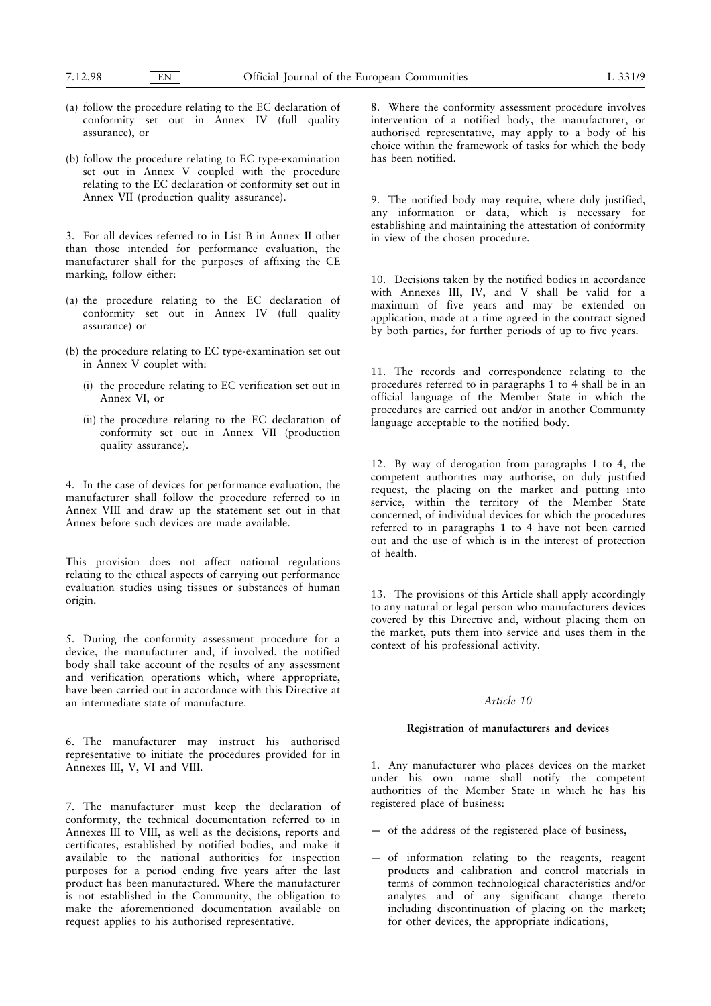- (a) follow the procedure relating to the EC declaration of conformity set out in Annex IV (full quality assurance), or
- (b) follow the procedure relating to EC type-examination set out in Annex V coupled with the procedure relating to the EC declaration of conformity set out in Annex VII (production quality assurance).

3. For all devices referred to in List B in Annex II other than those intended for performance evaluation, the manufacturer shall for the purposes of affixing the CE marking, follow either:

- (a) the procedure relating to the EC declaration of conformity set out in Annex IV (full quality assurance) or
- (b) the procedure relating to EC type-examination set out in Annex V couplet with:
	- (i) the procedure relating to EC verification set out in Annex VI, or
	- (ii) the procedure relating to the EC declaration of conformity set out in Annex VII (production quality assurance).

4. In the case of devices for performance evaluation, the manufacturer shall follow the procedure referred to in Annex VIII and draw up the statement set out in that Annex before such devices are made available.

This provision does not affect national regulations relating to the ethical aspects of carrying out performance evaluation studies using tissues or substances of human origin.

5. During the conformity assessment procedure for a device, the manufacturer and, if involved, the notified body shall take account of the results of any assessment and verification operations which, where appropriate, have been carried out in accordance with this Directive at an intermediate state of manufacture.

6. The manufacturer may instruct his authorised representative to initiate the procedures provided for in Annexes III, V, VI and VIII.

7. The manufacturer must keep the declaration of conformity, the technical documentation referred to in Annexes III to VIII, as well as the decisions, reports and certificates, established by notified bodies, and make it available to the national authorities for inspection purposes for a period ending five years after the last product has been manufactured. Where the manufacturer is not established in the Community, the obligation to make the aforementioned documentation available on request applies to his authorised representative.

8. Where the conformity assessment procedure involves intervention of a notified body, the manufacturer, or authorised representative, may apply to a body of his choice within the framework of tasks for which the body has been notified.

9. The notified body may require, where duly justified, any information or data, which is necessary for establishing and maintaining the attestation of conformity in view of the chosen procedure.

10. Decisions taken by the notified bodies in accordance with Annexes III, IV, and V shall be valid for a maximum of five years and may be extended on application, made at a time agreed in the contract signed by both parties, for further periods of up to five years.

11. The records and correspondence relating to the procedures referred to in paragraphs 1 to 4 shall be in an official language of the Member State in which the procedures are carried out and/or in another Community language acceptable to the notified body.

12. By way of derogation from paragraphs 1 to 4, the competent authorities may authorise, on duly justified request, the placing on the market and putting into service, within the territory of the Member State concerned, of individual devices for which the procedures referred to in paragraphs 1 to 4 have not been carried out and the use of which is in the interest of protection of health.

13. The provisions of this Article shall apply accordingly to any natural or legal person who manufacturers devices covered by this Directive and, without placing them on the market, puts them into service and uses them in the context of his professional activity.

### *Article 10*

## **Registration of manufacturers and devices**

1. Any manufacturer who places devices on the market under his own name shall notify the competent authorities of the Member State in which he has his registered place of business:

- of the address of the registered place of business,
- of information relating to the reagents, reagent products and calibration and control materials in terms of common technological characteristics and/or analytes and of any significant change thereto including discontinuation of placing on the market; for other devices, the appropriate indications,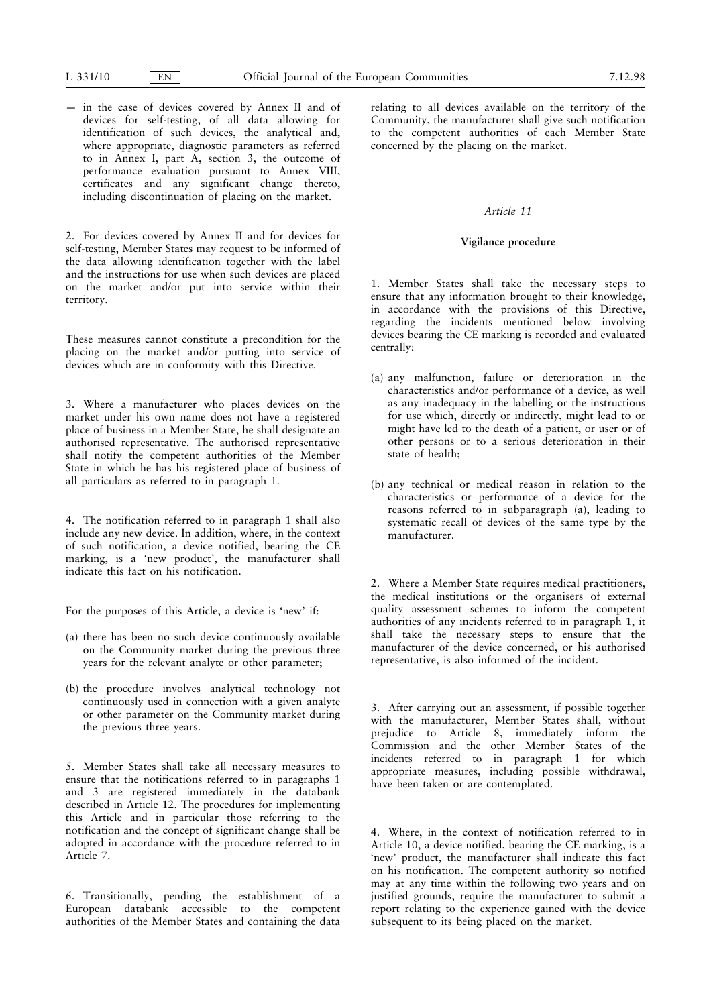— in the case of devices covered by Annex II and of devices for self-testing, of all data allowing for identification of such devices, the analytical and, where appropriate, diagnostic parameters as referred to in Annex I, part A, section 3, the outcome of performance evaluation pursuant to Annex VIII, certificates and any significant change thereto, including discontinuation of placing on the market.

2. For devices covered by Annex II and for devices for self-testing, Member States may request to be informed of the data allowing identification together with the label and the instructions for use when such devices are placed on the market and/or put into service within their territory.

These measures cannot constitute a precondition for the placing on the market and/or putting into service of devices which are in conformity with this Directive.

3. Where a manufacturer who places devices on the market under his own name does not have a registered place of business in a Member State, he shall designate an authorised representative. The authorised representative shall notify the competent authorities of the Member State in which he has his registered place of business of all particulars as referred to in paragraph 1.

4. The notification referred to in paragraph 1 shall also include any new device. In addition, where, in the context of such notification, a device notified, bearing the CE marking, is a 'new product', the manufacturer shall indicate this fact on his notification.

For the purposes of this Article, a device is 'new' if:

- (a) there has been no such device continuously available on the Community market during the previous three years for the relevant analyte or other parameter;
- (b) the procedure involves analytical technology not continuously used in connection with a given analyte or other parameter on the Community market during the previous three years.

5. Member States shall take all necessary measures to ensure that the notifications referred to in paragraphs 1 and 3 are registered immediately in the databank described in Article 12. The procedures for implementing this Article and in particular those referring to the notification and the concept of significant change shall be adopted in accordance with the procedure referred to in Article 7.

6. Transitionally, pending the establishment of a European databank accessible to the competent authorities of the Member States and containing the data

relating to all devices available on the territory of the Community, the manufacturer shall give such notification to the competent authorities of each Member State concerned by the placing on the market.

#### *Article 11*

### **Vigilance procedure**

1. Member States shall take the necessary steps to ensure that any information brought to their knowledge, in accordance with the provisions of this Directive, regarding the incidents mentioned below involving devices bearing the CE marking is recorded and evaluated centrally:

- (a) any malfunction, failure or deterioration in the characteristics and/or performance of a device, as well as any inadequacy in the labelling or the instructions for use which, directly or indirectly, might lead to or might have led to the death of a patient, or user or of other persons or to a serious deterioration in their state of health;
- (b) any technical or medical reason in relation to the characteristics or performance of a device for the reasons referred to in subparagraph (a), leading to systematic recall of devices of the same type by the manufacturer.

2. Where a Member State requires medical practitioners, the medical institutions or the organisers of external quality assessment schemes to inform the competent authorities of any incidents referred to in paragraph 1, it shall take the necessary steps to ensure that the manufacturer of the device concerned, or his authorised representative, is also informed of the incident.

3. After carrying out an assessment, if possible together with the manufacturer, Member States shall, without prejudice to Article 8, immediately inform the Commission and the other Member States of the incidents referred to in paragraph 1 for which appropriate measures, including possible withdrawal, have been taken or are contemplated.

4. Where, in the context of notification referred to in Article 10, a device notified, bearing the CE marking, is a 'new' product, the manufacturer shall indicate this fact on his notification. The competent authority so notified may at any time within the following two years and on justified grounds, require the manufacturer to submit a report relating to the experience gained with the device subsequent to its being placed on the market.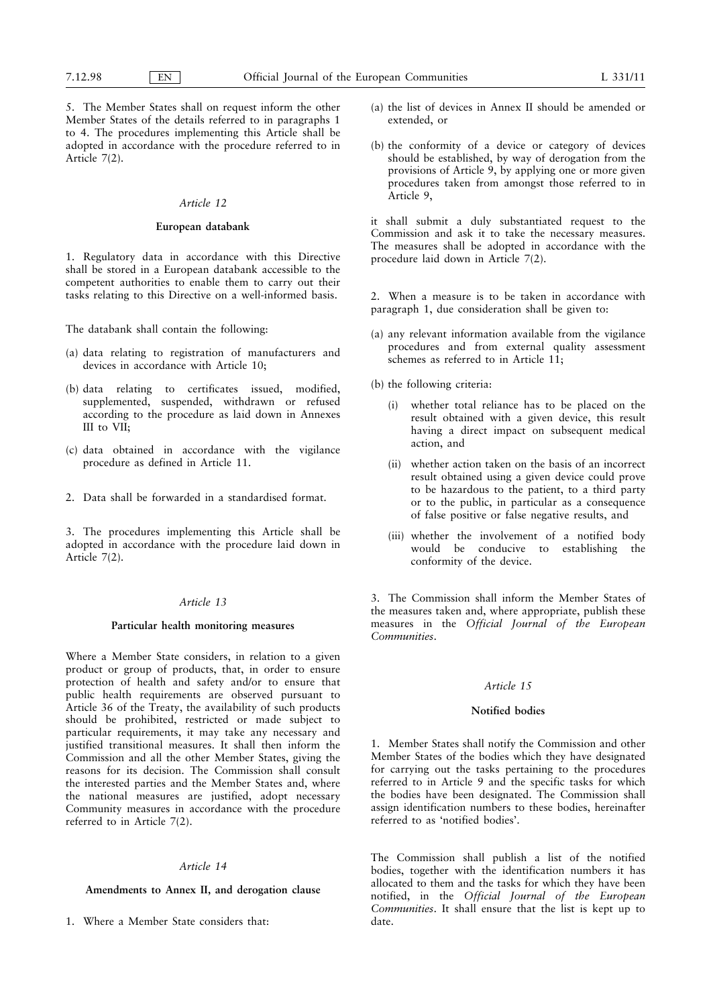5. The Member States shall on request inform the other Member States of the details referred to in paragraphs 1 to 4. The procedures implementing this Article shall be adopted in accordance with the procedure referred to in Article 7(2).

# *Article 12*

### **European databank**

1. Regulatory data in accordance with this Directive shall be stored in a European databank accessible to the competent authorities to enable them to carry out their tasks relating to this Directive on a well-informed basis.

The databank shall contain the following:

- (a) data relating to registration of manufacturers and devices in accordance with Article 10;
- (b) data relating to certificates issued, modified, supplemented, suspended, withdrawn or refused according to the procedure as laid down in Annexes III to VII;
- (c) data obtained in accordance with the vigilance procedure as defined in Article 11.
- 2. Data shall be forwarded in a standardised format.

3. The procedures implementing this Article shall be adopted in accordance with the procedure laid down in Article 7(2).

### *Article 13*

#### **Particular health monitoring measures**

Where a Member State considers, in relation to a given product or group of products, that, in order to ensure protection of health and safety and/or to ensure that public health requirements are observed pursuant to Article 36 of the Treaty, the availability of such products should be prohibited, restricted or made subject to particular requirements, it may take any necessary and justified transitional measures. It shall then inform the Commission and all the other Member States, giving the reasons for its decision. The Commission shall consult the interested parties and the Member States and, where the national measures are justified, adopt necessary Community measures in accordance with the procedure referred to in Article 7(2).

#### *Article 14*

### **Amendments to Annex II, and derogation clause**

1. Where a Member State considers that:

- (a) the list of devices in Annex II should be amended or extended, or
- (b) the conformity of a device or category of devices should be established, by way of derogation from the provisions of Article 9, by applying one or more given procedures taken from amongst those referred to in Article 9,

it shall submit a duly substantiated request to the Commission and ask it to take the necessary measures. The measures shall be adopted in accordance with the procedure laid down in Article 7(2).

2. When a measure is to be taken in accordance with paragraph 1, due consideration shall be given to:

- (a) any relevant information available from the vigilance procedures and from external quality assessment schemes as referred to in Article 11;
- (b) the following criteria:
	- (i) whether total reliance has to be placed on the result obtained with a given device, this result having a direct impact on subsequent medical action, and
	- (ii) whether action taken on the basis of an incorrect result obtained using a given device could prove to be hazardous to the patient, to a third party or to the public, in particular as a consequence of false positive or false negative results, and
	- (iii) whether the involvement of a notified body would be conducive to establishing the conformity of the device.

3. The Commission shall inform the Member States of the measures taken and, where appropriate, publish these measures in the *Official Journal of the European Communities*.

# *Article 15*

#### **Notified bodies**

1. Member States shall notify the Commission and other Member States of the bodies which they have designated for carrying out the tasks pertaining to the procedures referred to in Article 9 and the specific tasks for which the bodies have been designated. The Commission shall assign identification numbers to these bodies, hereinafter referred to as 'notified bodies'.

The Commission shall publish a list of the notified bodies, together with the identification numbers it has allocated to them and the tasks for which they have been notified, in the *Official Journal of the European Communities*. It shall ensure that the list is kept up to date.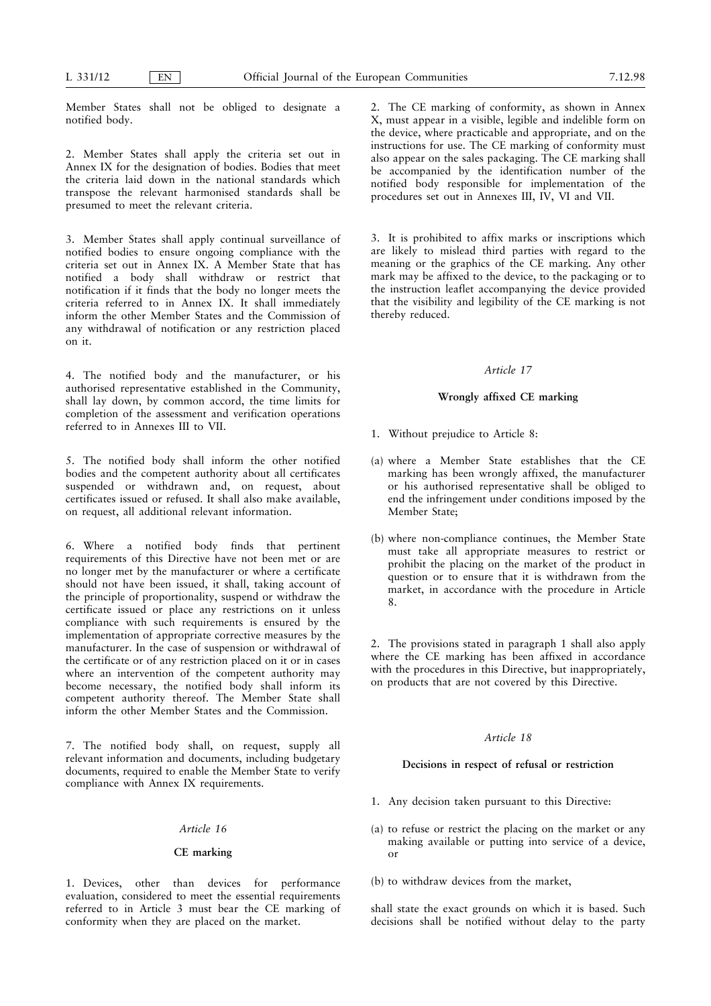Member States shall not be obliged to designate a notified body.

2. Member States shall apply the criteria set out in Annex IX for the designation of bodies. Bodies that meet the criteria laid down in the national standards which transpose the relevant harmonised standards shall be presumed to meet the relevant criteria.

3. Member States shall apply continual surveillance of notified bodies to ensure ongoing compliance with the criteria set out in Annex IX. A Member State that has notified a body shall withdraw or restrict that notification if it finds that the body no longer meets the criteria referred to in Annex IX. It shall immediately inform the other Member States and the Commission of any withdrawal of notification or any restriction placed on it.

4. The notified body and the manufacturer, or his authorised representative established in the Community, shall lay down, by common accord, the time limits for completion of the assessment and verification operations referred to in Annexes III to VII.

5. The notified body shall inform the other notified bodies and the competent authority about all certificates suspended or withdrawn and, on request, about certificates issued or refused. It shall also make available, on request, all additional relevant information.

6. Where a notified body finds that pertinent requirements of this Directive have not been met or are no longer met by the manufacturer or where a certificate should not have been issued, it shall, taking account of the principle of proportionality, suspend or withdraw the certificate issued or place any restrictions on it unless compliance with such requirements is ensured by the implementation of appropriate corrective measures by the manufacturer. In the case of suspension or withdrawal of the certificate or of any restriction placed on it or in cases where an intervention of the competent authority may become necessary, the notified body shall inform its competent authority thereof. The Member State shall inform the other Member States and the Commission.

7. The notified body shall, on request, supply all relevant information and documents, including budgetary documents, required to enable the Member State to verify compliance with Annex IX requirements.

### *Article 16*

#### **CE marking**

1. Devices, other than devices for performance evaluation, considered to meet the essential requirements referred to in Article 3 must bear the CE marking of conformity when they are placed on the market.

2. The CE marking of conformity, as shown in Annex X, must appear in a visible, legible and indelible form on the device, where practicable and appropriate, and on the instructions for use. The CE marking of conformity must also appear on the sales packaging. The CE marking shall be accompanied by the identification number of the notified body responsible for implementation of the procedures set out in Annexes III, IV, VI and VII.

3. It is prohibited to affix marks or inscriptions which are likely to mislead third parties with regard to the meaning or the graphics of the CE marking. Any other mark may be affixed to the device, to the packaging or to the instruction leaflet accompanying the device provided that the visibility and legibility of the CE marking is not thereby reduced.

#### *Article 17*

### **Wrongly affixed CE marking**

- 1. Without prejudice to Article 8:
- (a) where a Member State establishes that the CE marking has been wrongly affixed, the manufacturer or his authorised representative shall be obliged to end the infringement under conditions imposed by the Member State;
- (b) where non-compliance continues, the Member State must take all appropriate measures to restrict or prohibit the placing on the market of the product in question or to ensure that it is withdrawn from the market, in accordance with the procedure in Article 8.

2. The provisions stated in paragraph 1 shall also apply where the CE marking has been affixed in accordance with the procedures in this Directive, but inappropriately, on products that are not covered by this Directive.

## *Article 18*

# **Decisions in respect of refusal or restriction**

- 1. Any decision taken pursuant to this Directive:
- (a) to refuse or restrict the placing on the market or any making available or putting into service of a device, or
- (b) to withdraw devices from the market,

shall state the exact grounds on which it is based. Such decisions shall be notified without delay to the party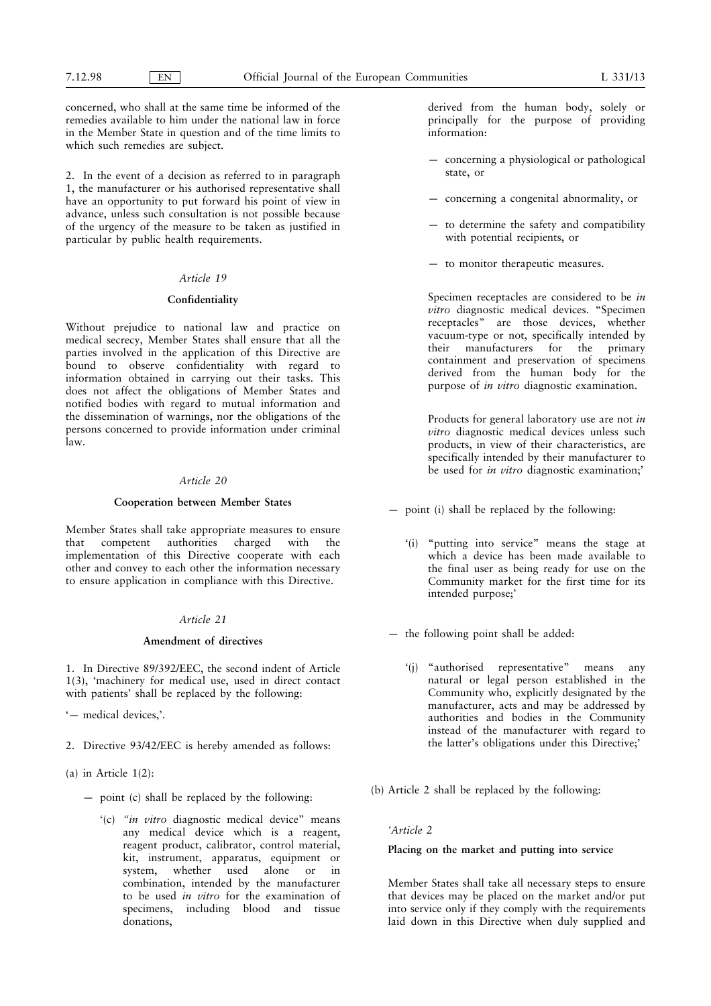concerned, who shall at the same time be informed of the remedies available to him under the national law in force in the Member State in question and of the time limits to which such remedies are subject.

2. In the event of a decision as referred to in paragraph 1, the manufacturer or his authorised representative shall have an opportunity to put forward his point of view in advance, unless such consultation is not possible because of the urgency of the measure to be taken as justified in particular by public health requirements.

#### *Article 19*

### **Confidentiality**

Without prejudice to national law and practice on medical secrecy, Member States shall ensure that all the parties involved in the application of this Directive are bound to observe confidentiality with regard to information obtained in carrying out their tasks. This does not affect the obligations of Member States and notified bodies with regard to mutual information and the dissemination of warnings, nor the obligations of the persons concerned to provide information under criminal law.

# *Article 20*

### **Cooperation between Member States**

Member States shall take appropriate measures to ensure that competent authorities charged with the implementation of this Directive cooperate with each other and convey to each other the information necessary to ensure application in compliance with this Directive.

#### *Article 21*

#### **Amendment of directives**

1. In Directive 89/392/EEC, the second indent of Article 1(3), 'machinery for medical use, used in direct contact with patients' shall be replaced by the following:

'— medical devices,'.

- 2. Directive 93/42/EEC is hereby amended as follows:
- (a) in Article 1(2):
	- point (c) shall be replaced by the following:
		- '(c) *"in vitro* diagnostic medical device" means any medical device which is a reagent, reagent product, calibrator, control material, kit, instrument, apparatus, equipment or system, whether used alone or in combination, intended by the manufacturer to be used *in vitro* for the examination of specimens, including blood and tissue donations,

derived from the human body, solely or principally for the purpose of providing information:

- concerning a physiological or pathological state, or
- concerning a congenital abnormality, or
- to determine the safety and compatibility with potential recipients, or
- to monitor therapeutic measures.

Specimen receptacles are considered to be *in vitro* diagnostic medical devices. "Specimen receptacles" are those devices, whether vacuum-type or not, specifically intended by their manufacturers for the primary containment and preservation of specimens derived from the human body for the purpose of *in vitro* diagnostic examination.

Products for general laboratory use are not *in vitro* diagnostic medical devices unless such products, in view of their characteristics, are specifically intended by their manufacturer to be used for *in vitro* diagnostic examination;'

— point (i) shall be replaced by the following:

- '(i) "putting into service" means the stage at which a device has been made available to the final user as being ready for use on the Community market for the first time for its intended purpose;'
- the following point shall be added:
	- '(j) "authorised representative" means any natural or legal person established in the Community who, explicitly designated by the manufacturer, acts and may be addressed by authorities and bodies in the Community instead of the manufacturer with regard to the latter's obligations under this Directive;'
- (b) Article 2 shall be replaced by the following:

# *'Article 2*

#### **Placing on the market and putting into service**

Member States shall take all necessary steps to ensure that devices may be placed on the market and/or put into service only if they comply with the requirements laid down in this Directive when duly supplied and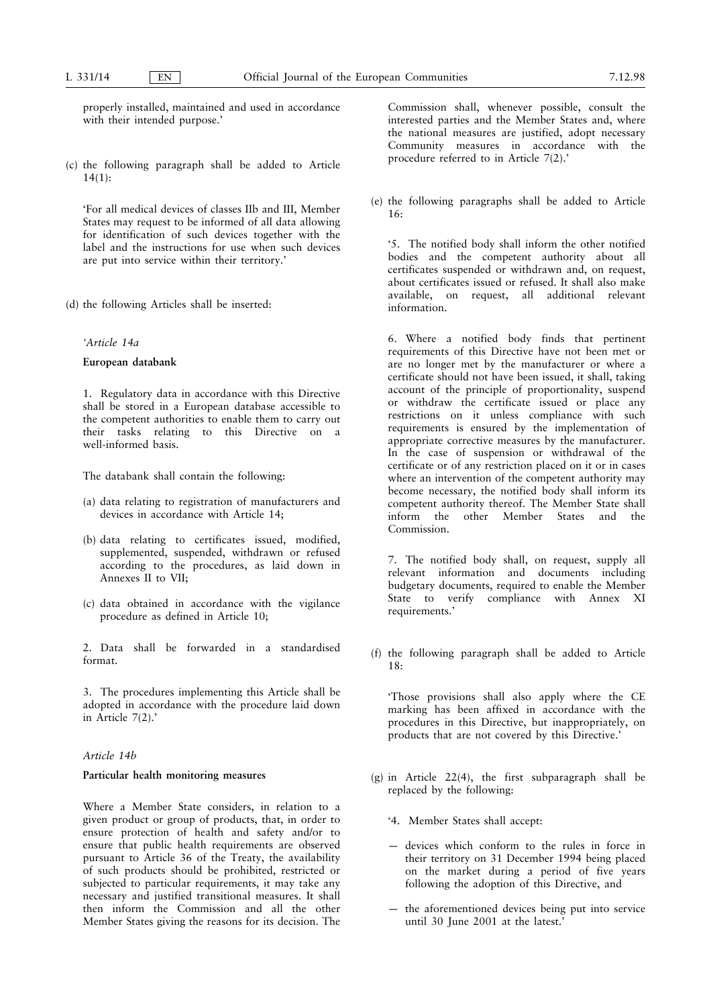properly installed, maintained and used in accordance with their intended purpose.'

(c) the following paragraph shall be added to Article  $14(1):$ 

'For all medical devices of classes IIb and III, Member States may request to be informed of all data allowing for identification of such devices together with the label and the instructions for use when such devices are put into service within their territory.'

(d) the following Articles shall be inserted:

## *'Article 14a*

# **European databank**

1. Regulatory data in accordance with this Directive shall be stored in a European database accessible to the competent authorities to enable them to carry out their tasks relating to this Directive on a well-informed basis.

The databank shall contain the following:

- (a) data relating to registration of manufacturers and devices in accordance with Article 14;
- (b) data relating to certificates issued, modified, supplemented, suspended, withdrawn or refused according to the procedures, as laid down in Annexes II to VII;
- (c) data obtained in accordance with the vigilance procedure as defined in Article 10;

2. Data shall be forwarded in a standardised format.

3. The procedures implementing this Article shall be adopted in accordance with the procedure laid down in Article 7(2).'

# *Article 14b*

### **Particular health monitoring measures**

Where a Member State considers, in relation to a given product or group of products, that, in order to ensure protection of health and safety and/or to ensure that public health requirements are observed pursuant to Article 36 of the Treaty, the availability of such products should be prohibited, restricted or subjected to particular requirements, it may take any necessary and justified transitional measures. It shall then inform the Commission and all the other Member States giving the reasons for its decision. The Commission shall, whenever possible, consult the interested parties and the Member States and, where the national measures are justified, adopt necessary Community measures in accordance with the procedure referred to in Article 7(2).'

(e) the following paragraphs shall be added to Article 16:

'5. The notified body shall inform the other notified bodies and the competent authority about all certificates suspended or withdrawn and, on request, about certificates issued or refused. It shall also make available, on request, all additional relevant information.

6. Where a notified body finds that pertinent requirements of this Directive have not been met or are no longer met by the manufacturer or where a certificate should not have been issued, it shall, taking account of the principle of proportionality, suspend or withdraw the certificate issued or place any restrictions on it unless compliance with such requirements is ensured by the implementation of appropriate corrective measures by the manufacturer. In the case of suspension or withdrawal of the certificate or of any restriction placed on it or in cases where an intervention of the competent authority may become necessary, the notified body shall inform its competent authority thereof. The Member State shall<br>inform the other Member States and the other Member States and the Commission.

7. The notified body shall, on request, supply all relevant information and documents including budgetary documents, required to enable the Member State to verify compliance with Annex XI requirements.'

(f) the following paragraph shall be added to Article 18:

'Those provisions shall also apply where the CE marking has been affixed in accordance with the procedures in this Directive, but inappropriately, on products that are not covered by this Directive.'

- (g) in Article 22(4), the first subparagraph shall be replaced by the following:
	- '4. Member States shall accept:
	- devices which conform to the rules in force in their territory on 31 December 1994 being placed on the market during a period of five years following the adoption of this Directive, and
	- the aforementioned devices being put into service until 30 June 2001 at the latest.'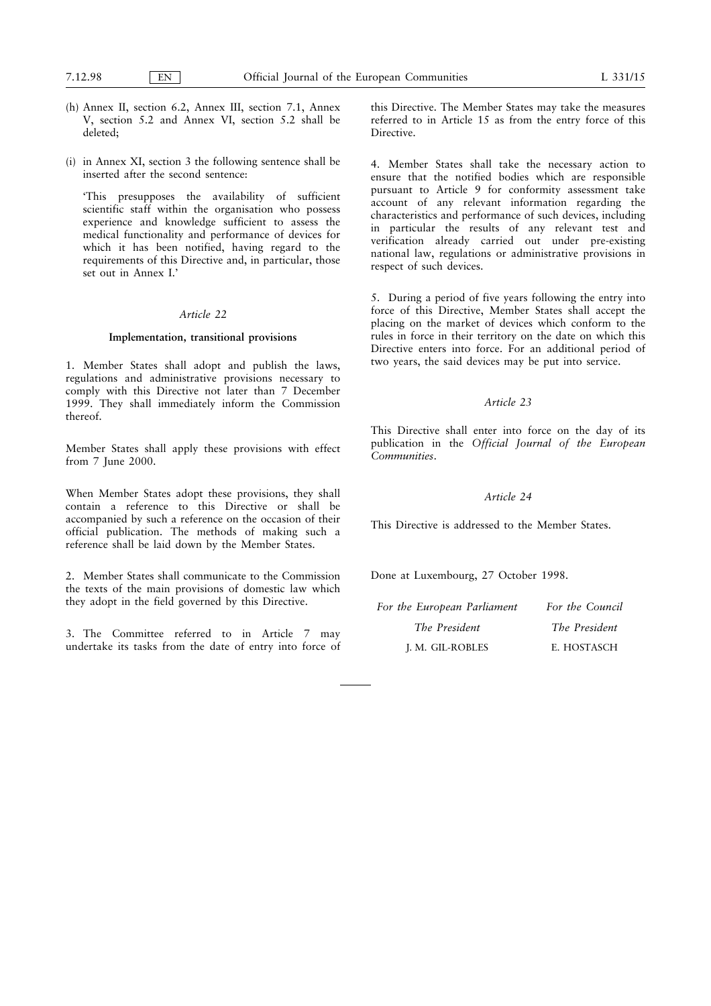- (h) Annex II, section 6.2, Annex III, section 7.1, Annex V, section 5.2 and Annex VI, section 5.2 shall be deleted;
- (i) in Annex XI, section 3 the following sentence shall be inserted after the second sentence:

'This presupposes the availability of sufficient scientific staff within the organisation who possess experience and knowledge sufficient to assess the medical functionality and performance of devices for which it has been notified, having regard to the requirements of this Directive and, in particular, those set out in Annex I.'

### *Article 22*

#### **Implementation, transitional provisions**

1. Member States shall adopt and publish the laws, regulations and administrative provisions necessary to comply with this Directive not later than 7 December 1999. They shall immediately inform the Commission thereof.

Member States shall apply these provisions with effect from 7 June 2000.

When Member States adopt these provisions, they shall contain a reference to this Directive or shall be accompanied by such a reference on the occasion of their official publication. The methods of making such a reference shall be laid down by the Member States.

2. Member States shall communicate to the Commission the texts of the main provisions of domestic law which they adopt in the field governed by this Directive.

3. The Committee referred to in Article 7 may undertake its tasks from the date of entry into force of this Directive. The Member States may take the measures referred to in Article 15 as from the entry force of this Directive.

4. Member States shall take the necessary action to ensure that the notified bodies which are responsible pursuant to Article 9 for conformity assessment take account of any relevant information regarding the characteristics and performance of such devices, including in particular the results of any relevant test and verification already carried out under pre-existing national law, regulations or administrative provisions in respect of such devices.

5. During a period of five years following the entry into force of this Directive, Member States shall accept the placing on the market of devices which conform to the rules in force in their territory on the date on which this Directive enters into force. For an additional period of two years, the said devices may be put into service.

### *Article 23*

This Directive shall enter into force on the day of its publication in the *Official Journal of the European Communities*.

### *Article 24*

This Directive is addressed to the Member States.

Done at Luxembourg, 27 October 1998.

| For the European Parliament | For the Council |
|-----------------------------|-----------------|
| The President               | The President   |
| J. M. GIL-ROBLES            | E. HOSTASCH     |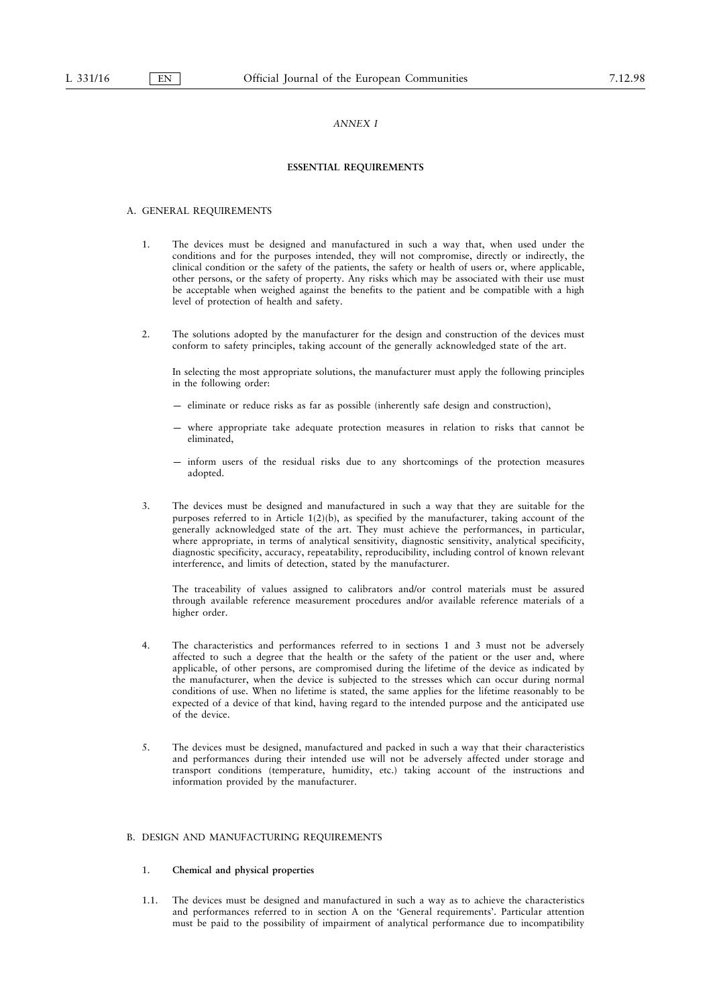# *ANNEX I*

### **ESSENTIAL REQUIREMENTS**

#### A. GENERAL REQUIREMENTS

- 1. The devices must be designed and manufactured in such a way that, when used under the conditions and for the purposes intended, they will not compromise, directly or indirectly, the clinical condition or the safety of the patients, the safety or health of users or, where applicable, other persons, or the safety of property. Any risks which may be associated with their use must be acceptable when weighed against the benefits to the patient and be compatible with a high level of protection of health and safety.
- 2. The solutions adopted by the manufacturer for the design and construction of the devices must conform to safety principles, taking account of the generally acknowledged state of the art.

In selecting the most appropriate solutions, the manufacturer must apply the following principles in the following order:

- eliminate or reduce risks as far as possible (inherently safe design and construction),
- where appropriate take adequate protection measures in relation to risks that cannot be eliminated,
- inform users of the residual risks due to any shortcomings of the protection measures adopted.
- 3. The devices must be designed and manufactured in such a way that they are suitable for the purposes referred to in Article  $1(2)(b)$ , as specified by the manufacturer, taking account of the generally acknowledged state of the art. They must achieve the performances, in particular, where appropriate, in terms of analytical sensitivity, diagnostic sensitivity, analytical specificity, diagnostic specificity, accuracy, repeatability, reproducibility, including control of known relevant interference, and limits of detection, stated by the manufacturer.

The traceability of values assigned to calibrators and/or control materials must be assured through available reference measurement procedures and/or available reference materials of a higher order.

- 4. The characteristics and performances referred to in sections 1 and 3 must not be adversely affected to such a degree that the health or the safety of the patient or the user and, where applicable, of other persons, are compromised during the lifetime of the device as indicated by the manufacturer, when the device is subjected to the stresses which can occur during normal conditions of use. When no lifetime is stated, the same applies for the lifetime reasonably to be expected of a device of that kind, having regard to the intended purpose and the anticipated use of the device.
- 5. The devices must be designed, manufactured and packed in such a way that their characteristics and performances during their intended use will not be adversely affected under storage and transport conditions (temperature, humidity, etc.) taking account of the instructions and information provided by the manufacturer.

#### B. DESIGN AND MANUFACTURING REQUIREMENTS

# 1. **Chemical and physical properties**

1.1. The devices must be designed and manufactured in such a way as to achieve the characteristics and performances referred to in section A on the 'General requirements'. Particular attention must be paid to the possibility of impairment of analytical performance due to incompatibility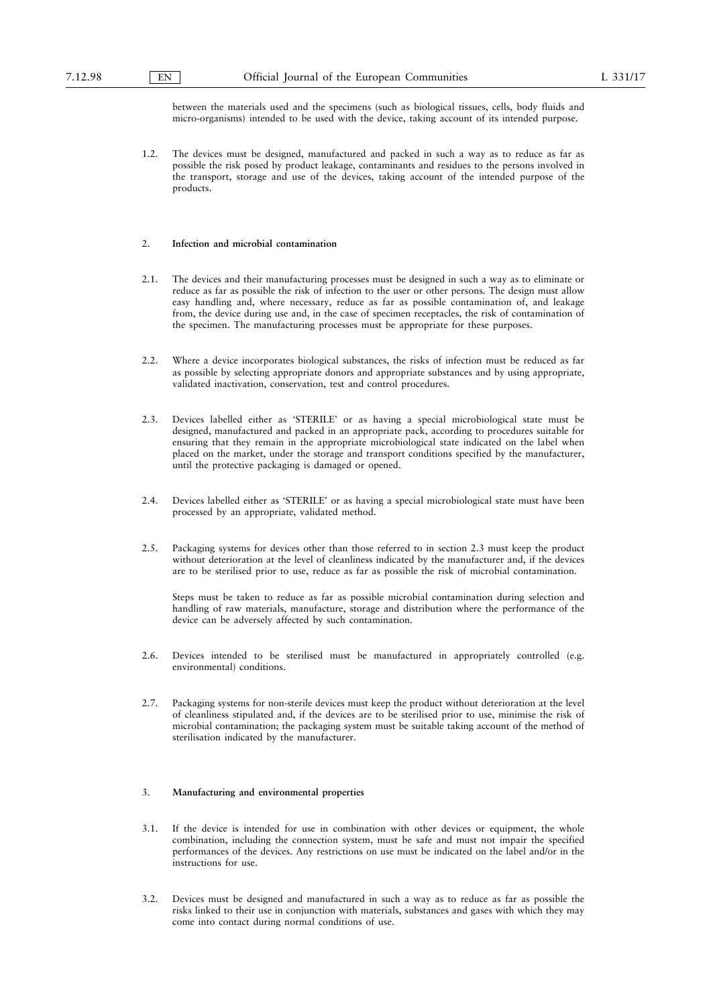between the materials used and the specimens (such as biological tissues, cells, body fluids and micro-organisms) intended to be used with the device, taking account of its intended purpose.

1.2. The devices must be designed, manufactured and packed in such a way as to reduce as far as possible the risk posed by product leakage, contaminants and residues to the persons involved in the transport, storage and use of the devices, taking account of the intended purpose of the products.

#### 2. **Infection and microbial contamination**

- 2.1. The devices and their manufacturing processes must be designed in such a way as to eliminate or reduce as far as possible the risk of infection to the user or other persons. The design must allow easy handling and, where necessary, reduce as far as possible contamination of, and leakage from, the device during use and, in the case of specimen receptacles, the risk of contamination of the specimen. The manufacturing processes must be appropriate for these purposes.
- 2.2. Where a device incorporates biological substances, the risks of infection must be reduced as far as possible by selecting appropriate donors and appropriate substances and by using appropriate, validated inactivation, conservation, test and control procedures.
- 2.3. Devices labelled either as 'STERILE' or as having a special microbiological state must be designed, manufactured and packed in an appropriate pack, according to procedures suitable for ensuring that they remain in the appropriate microbiological state indicated on the label when placed on the market, under the storage and transport conditions specified by the manufacturer, until the protective packaging is damaged or opened.
- 2.4. Devices labelled either as 'STERILE' or as having a special microbiological state must have been processed by an appropriate, validated method.
- 2.5. Packaging systems for devices other than those referred to in section 2.3 must keep the product without deterioration at the level of cleanliness indicated by the manufacturer and, if the devices are to be sterilised prior to use, reduce as far as possible the risk of microbial contamination.

Steps must be taken to reduce as far as possible microbial contamination during selection and handling of raw materials, manufacture, storage and distribution where the performance of the device can be adversely affected by such contamination.

- 2.6. Devices intended to be sterilised must be manufactured in appropriately controlled (e.g. environmental) conditions.
- 2.7. Packaging systems for non-sterile devices must keep the product without deterioration at the level of cleanliness stipulated and, if the devices are to be sterilised prior to use, minimise the risk of microbial contamination; the packaging system must be suitable taking account of the method of sterilisation indicated by the manufacturer.

## 3. **Manufacturing and environmental properties**

- 3.1. If the device is intended for use in combination with other devices or equipment, the whole combination, including the connection system, must be safe and must not impair the specified performances of the devices. Any restrictions on use must be indicated on the label and/or in the instructions for use.
- 3.2. Devices must be designed and manufactured in such a way as to reduce as far as possible the risks linked to their use in conjunction with materials, substances and gases with which they may come into contact during normal conditions of use.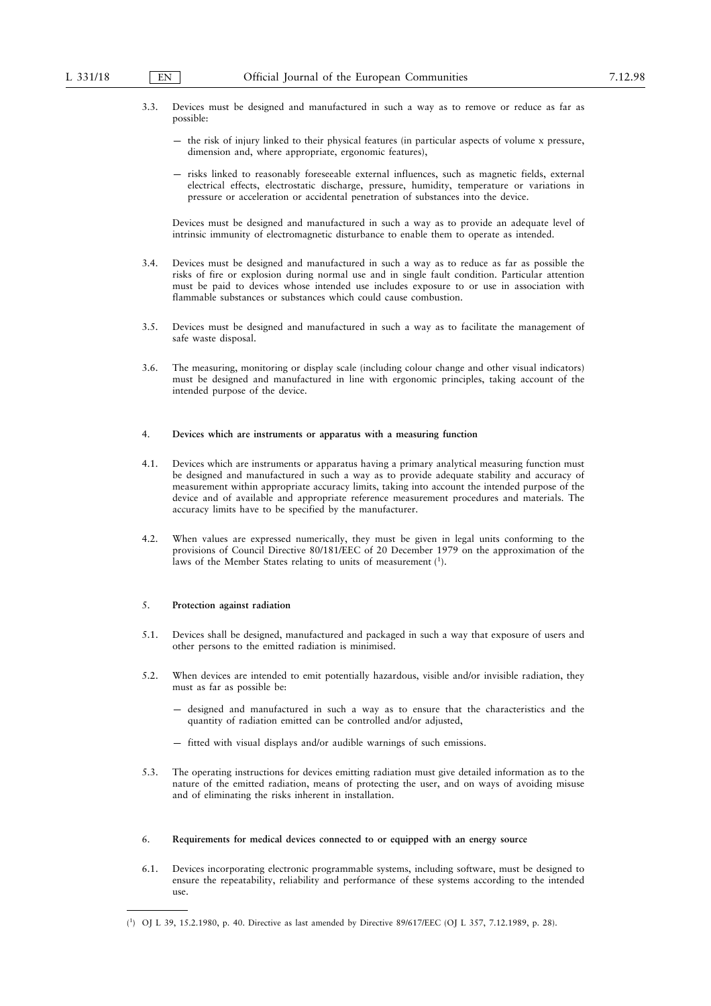- 3.3. Devices must be designed and manufactured in such a way as to remove or reduce as far as possible:
	- the risk of injury linked to their physical features (in particular aspects of volume x pressure, dimension and, where appropriate, ergonomic features),
	- risks linked to reasonably foreseeable external influences, such as magnetic fields, external electrical effects, electrostatic discharge, pressure, humidity, temperature or variations in pressure or acceleration or accidental penetration of substances into the device.

Devices must be designed and manufactured in such a way as to provide an adequate level of intrinsic immunity of electromagnetic disturbance to enable them to operate as intended.

- 3.4. Devices must be designed and manufactured in such a way as to reduce as far as possible the risks of fire or explosion during normal use and in single fault condition. Particular attention must be paid to devices whose intended use includes exposure to or use in association with flammable substances or substances which could cause combustion.
- 3.5. Devices must be designed and manufactured in such a way as to facilitate the management of safe waste disposal.
- 3.6. The measuring, monitoring or display scale (including colour change and other visual indicators) must be designed and manufactured in line with ergonomic principles, taking account of the intended purpose of the device.

#### 4. **Devices which are instruments or apparatus with a measuring function**

- 4.1. Devices which are instruments or apparatus having a primary analytical measuring function must be designed and manufactured in such a way as to provide adequate stability and accuracy of measurement within appropriate accuracy limits, taking into account the intended purpose of the device and of available and appropriate reference measurement procedures and materials. The accuracy limits have to be specified by the manufacturer.
- 4.2. When values are expressed numerically, they must be given in legal units conforming to the provisions of Council Directive 80/181/EEC of 20 December 1979 on the approximation of the laws of the Member States relating to units of measurement  $(1)$ .

#### 5. **Protection against radiation**

- 5.1. Devices shall be designed, manufactured and packaged in such a way that exposure of users and other persons to the emitted radiation is minimised.
- 5.2. When devices are intended to emit potentially hazardous, visible and/or invisible radiation, they must as far as possible be:
	- designed and manufactured in such a way as to ensure that the characteristics and the quantity of radiation emitted can be controlled and/or adjusted,
	- fitted with visual displays and/or audible warnings of such emissions.
- 5.3. The operating instructions for devices emitting radiation must give detailed information as to the nature of the emitted radiation, means of protecting the user, and on ways of avoiding misuse and of eliminating the risks inherent in installation.
- 6. **Requirements for medical devices connected to or equipped with an energy source**
- 6.1. Devices incorporating electronic programmable systems, including software, must be designed to ensure the repeatability, reliability and performance of these systems according to the intended use.

<sup>(1)</sup> OJ L 39, 15.2.1980, p. 40. Directive as last amended by Directive 89/617/EEC (OJ L 357, 7.12.1989, p. 28).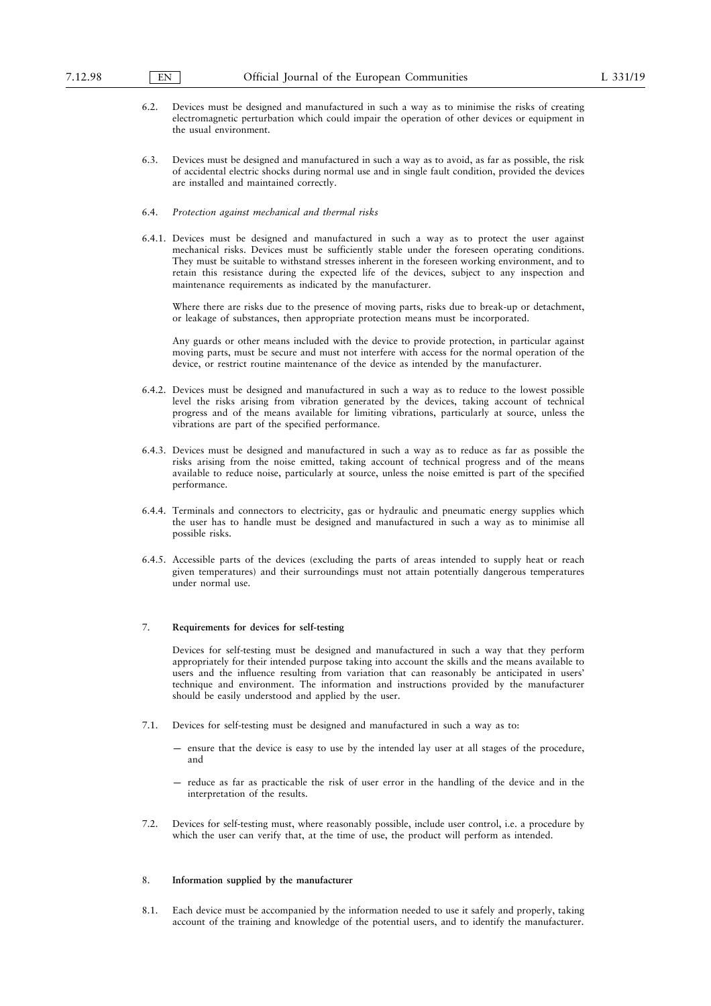- 6.2. Devices must be designed and manufactured in such a way as to minimise the risks of creating electromagnetic perturbation which could impair the operation of other devices or equipment in the usual environment.
- 6.3. Devices must be designed and manufactured in such a way as to avoid, as far as possible, the risk of accidental electric shocks during normal use and in single fault condition, provided the devices are installed and maintained correctly.
- 6.4. *Protection against mechanical and thermal risks*
- 6.4.1. Devices must be designed and manufactured in such a way as to protect the user against mechanical risks. Devices must be sufficiently stable under the foreseen operating conditions. They must be suitable to withstand stresses inherent in the foreseen working environment, and to retain this resistance during the expected life of the devices, subject to any inspection and maintenance requirements as indicated by the manufacturer.

Where there are risks due to the presence of moving parts, risks due to break-up or detachment, or leakage of substances, then appropriate protection means must be incorporated.

Any guards or other means included with the device to provide protection, in particular against moving parts, must be secure and must not interfere with access for the normal operation of the device, or restrict routine maintenance of the device as intended by the manufacturer.

- 6.4.2. Devices must be designed and manufactured in such a way as to reduce to the lowest possible level the risks arising from vibration generated by the devices, taking account of technical progress and of the means available for limiting vibrations, particularly at source, unless the vibrations are part of the specified performance.
- 6.4.3. Devices must be designed and manufactured in such a way as to reduce as far as possible the risks arising from the noise emitted, taking account of technical progress and of the means available to reduce noise, particularly at source, unless the noise emitted is part of the specified performance.
- 6.4.4. Terminals and connectors to electricity, gas or hydraulic and pneumatic energy supplies which the user has to handle must be designed and manufactured in such a way as to minimise all possible risks.
- 6.4.5. Accessible parts of the devices (excluding the parts of areas intended to supply heat or reach given temperatures) and their surroundings must not attain potentially dangerous temperatures under normal use.

#### 7. **Requirements for devices for self-testing**

Devices for self-testing must be designed and manufactured in such a way that they perform appropriately for their intended purpose taking into account the skills and the means available to users and the influence resulting from variation that can reasonably be anticipated in users' technique and environment. The information and instructions provided by the manufacturer should be easily understood and applied by the user.

- 7.1. Devices for self-testing must be designed and manufactured in such a way as to:
	- ensure that the device is easy to use by the intended lay user at all stages of the procedure, and
	- reduce as far as practicable the risk of user error in the handling of the device and in the interpretation of the results.
- 7.2. Devices for self-testing must, where reasonably possible, include user control, i.e. a procedure by which the user can verify that, at the time of use, the product will perform as intended.

### 8. **Information supplied by the manufacturer**

8.1. Each device must be accompanied by the information needed to use it safely and properly, taking account of the training and knowledge of the potential users, and to identify the manufacturer.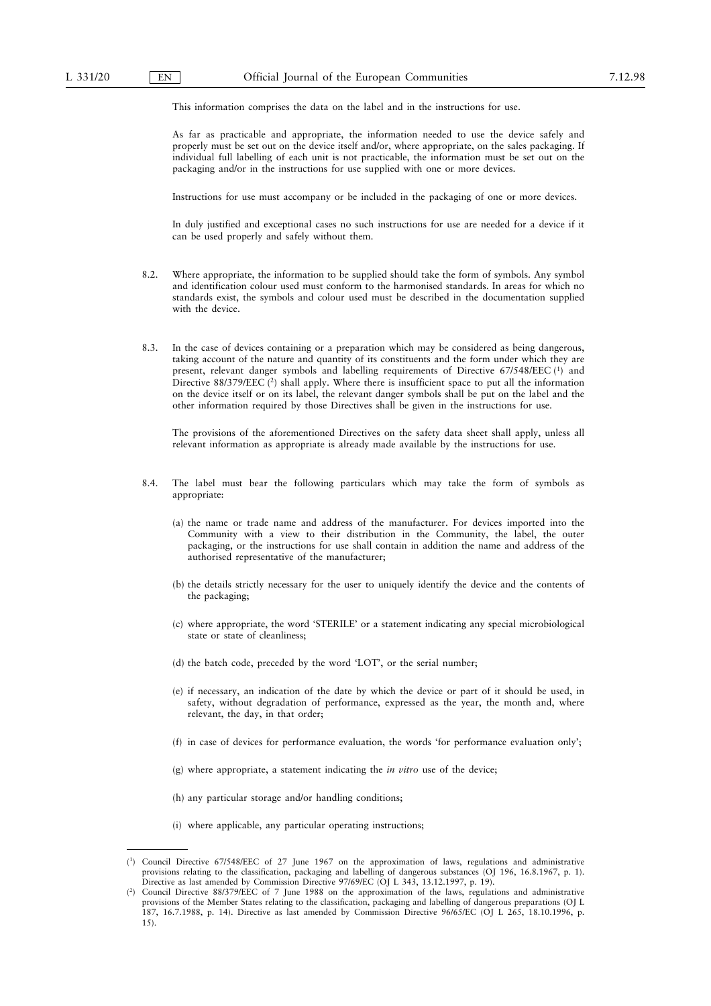This information comprises the data on the label and in the instructions for use.

As far as practicable and appropriate, the information needed to use the device safely and properly must be set out on the device itself and/or, where appropriate, on the sales packaging. If individual full labelling of each unit is not practicable, the information must be set out on the packaging and/or in the instructions for use supplied with one or more devices.

Instructions for use must accompany or be included in the packaging of one or more devices.

In duly justified and exceptional cases no such instructions for use are needed for a device if it can be used properly and safely without them.

- 8.2. Where appropriate, the information to be supplied should take the form of symbols. Any symbol and identification colour used must conform to the harmonised standards. In areas for which no standards exist, the symbols and colour used must be described in the documentation supplied with the device.
- 8.3. In the case of devices containing or a preparation which may be considered as being dangerous, taking account of the nature and quantity of its constituents and the form under which they are present, relevant danger symbols and labelling requirements of Directive 67/548/EEC (1) and Directive 88/379/EEC  $(2)$  shall apply. Where there is insufficient space to put all the information on the device itself or on its label, the relevant danger symbols shall be put on the label and the other information required by those Directives shall be given in the instructions for use.

The provisions of the aforementioned Directives on the safety data sheet shall apply, unless all relevant information as appropriate is already made available by the instructions for use.

- 8.4. The label must bear the following particulars which may take the form of symbols as appropriate:
	- (a) the name or trade name and address of the manufacturer. For devices imported into the Community with a view to their distribution in the Community, the label, the outer packaging, or the instructions for use shall contain in addition the name and address of the authorised representative of the manufacturer;
	- (b) the details strictly necessary for the user to uniquely identify the device and the contents of the packaging;
	- (c) where appropriate, the word 'STERILE' or a statement indicating any special microbiological state or state of cleanliness;
	- (d) the batch code, preceded by the word 'LOT', or the serial number;
	- (e) if necessary, an indication of the date by which the device or part of it should be used, in safety, without degradation of performance, expressed as the year, the month and, where relevant, the day, in that order;
	- (f) in case of devices for performance evaluation, the words 'for performance evaluation only';
	- (g) where appropriate, a statement indicating the *in vitro* use of the device;
	- (h) any particular storage and/or handling conditions;
	- (i) where applicable, any particular operating instructions;

<sup>(1)</sup> Council Directive 67/548/EEC of 27 June 1967 on the approximation of laws, regulations and administrative provisions relating to the classification, packaging and labelling of dangerous substances (OJ 196, 16.8.1967, p. 1). Directive as last amended by Commission Directive 97/69/EC (OJ L 343, 13.12.1997, p. 19).

<sup>(2)</sup> Council Directive 88/379/EEC of 7 June 1988 on the approximation of the laws, regulations and administrative provisions of the Member States relating to the classification, packaging and labelling of dangerous preparations (OJ L 187, 16.7.1988, p. 14). Directive as last amended by Commission Directive 96/65/EC (OJ L 265, 18.10.1996, p. 15).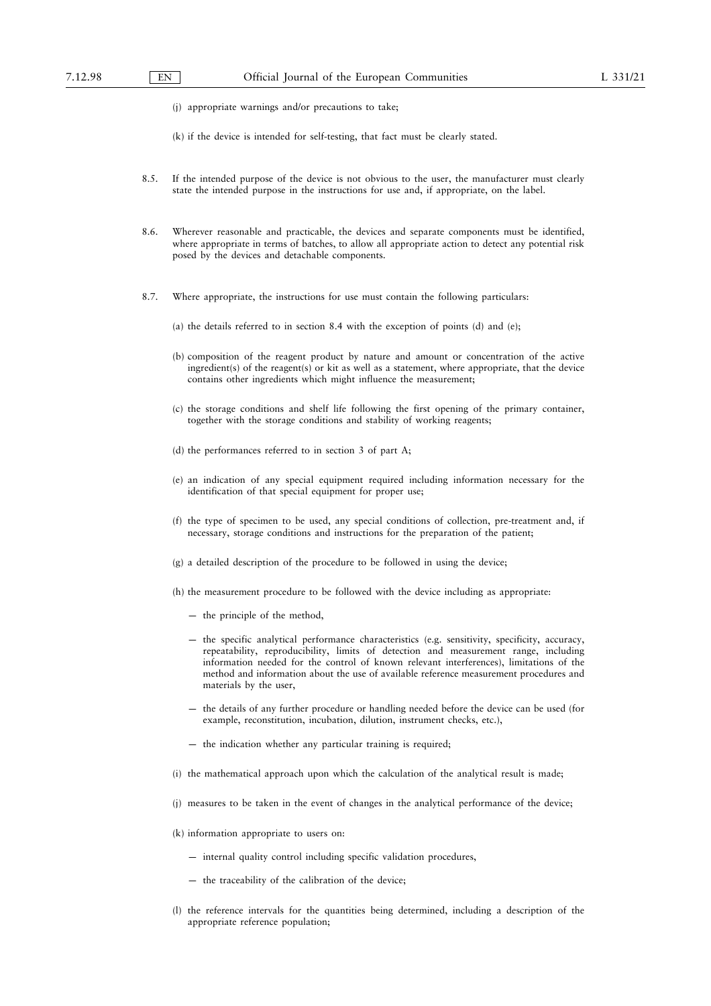- (j) appropriate warnings and/or precautions to take;
- (k) if the device is intended for self-testing, that fact must be clearly stated.
- 8.5. If the intended purpose of the device is not obvious to the user, the manufacturer must clearly state the intended purpose in the instructions for use and, if appropriate, on the label.
- 8.6. Wherever reasonable and practicable, the devices and separate components must be identified, where appropriate in terms of batches, to allow all appropriate action to detect any potential risk posed by the devices and detachable components.
- 8.7. Where appropriate, the instructions for use must contain the following particulars:
	- (a) the details referred to in section 8.4 with the exception of points (d) and (e);
	- (b) composition of the reagent product by nature and amount or concentration of the active ingredient(s) of the reagent(s) or kit as well as a statement, where appropriate, that the device contains other ingredients which might influence the measurement;
	- (c) the storage conditions and shelf life following the first opening of the primary container, together with the storage conditions and stability of working reagents;
	- (d) the performances referred to in section 3 of part A;
	- (e) an indication of any special equipment required including information necessary for the identification of that special equipment for proper use;
	- (f) the type of specimen to be used, any special conditions of collection, pre-treatment and, if necessary, storage conditions and instructions for the preparation of the patient;
	- (g) a detailed description of the procedure to be followed in using the device;
	- (h) the measurement procedure to be followed with the device including as appropriate:
		- the principle of the method,
		- the specific analytical performance characteristics (e.g. sensitivity, specificity, accuracy, repeatability, reproducibility, limits of detection and measurement range, including information needed for the control of known relevant interferences), limitations of the method and information about the use of available reference measurement procedures and materials by the user,
		- the details of any further procedure or handling needed before the device can be used (for example, reconstitution, incubation, dilution, instrument checks, etc.),
		- the indication whether any particular training is required;
	- (i) the mathematical approach upon which the calculation of the analytical result is made;
	- (j) measures to be taken in the event of changes in the analytical performance of the device;
	- (k) information appropriate to users on:
		- internal quality control including specific validation procedures,
		- the traceability of the calibration of the device;
	- (l) the reference intervals for the quantities being determined, including a description of the appropriate reference population;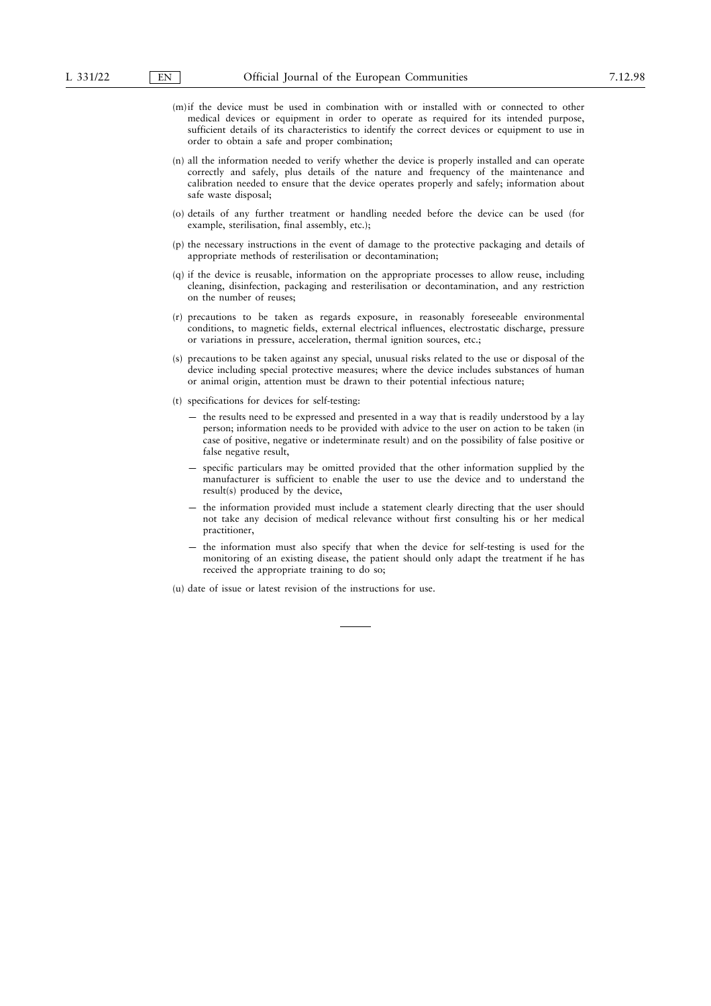- (m) if the device must be used in combination with or installed with or connected to other medical devices or equipment in order to operate as required for its intended purpose, sufficient details of its characteristics to identify the correct devices or equipment to use in order to obtain a safe and proper combination;
- (n) all the information needed to verify whether the device is properly installed and can operate correctly and safely, plus details of the nature and frequency of the maintenance and calibration needed to ensure that the device operates properly and safely; information about safe waste disposal;
- (o) details of any further treatment or handling needed before the device can be used (for example, sterilisation, final assembly, etc.);
- (p) the necessary instructions in the event of damage to the protective packaging and details of appropriate methods of resterilisation or decontamination;
- (q) if the device is reusable, information on the appropriate processes to allow reuse, including cleaning, disinfection, packaging and resterilisation or decontamination, and any restriction on the number of reuses;
- (r) precautions to be taken as regards exposure, in reasonably foreseeable environmental conditions, to magnetic fields, external electrical influences, electrostatic discharge, pressure or variations in pressure, acceleration, thermal ignition sources, etc.;
- (s) precautions to be taken against any special, unusual risks related to the use or disposal of the device including special protective measures; where the device includes substances of human or animal origin, attention must be drawn to their potential infectious nature;
- (t) specifications for devices for self-testing:
	- the results need to be expressed and presented in a way that is readily understood by a lay person; information needs to be provided with advice to the user on action to be taken (in case of positive, negative or indeterminate result) and on the possibility of false positive or false negative result,
	- specific particulars may be omitted provided that the other information supplied by the manufacturer is sufficient to enable the user to use the device and to understand the result(s) produced by the device,
	- the information provided must include a statement clearly directing that the user should not take any decision of medical relevance without first consulting his or her medical practitioner,
	- the information must also specify that when the device for self-testing is used for the monitoring of an existing disease, the patient should only adapt the treatment if he has received the appropriate training to do so;
- (u) date of issue or latest revision of the instructions for use.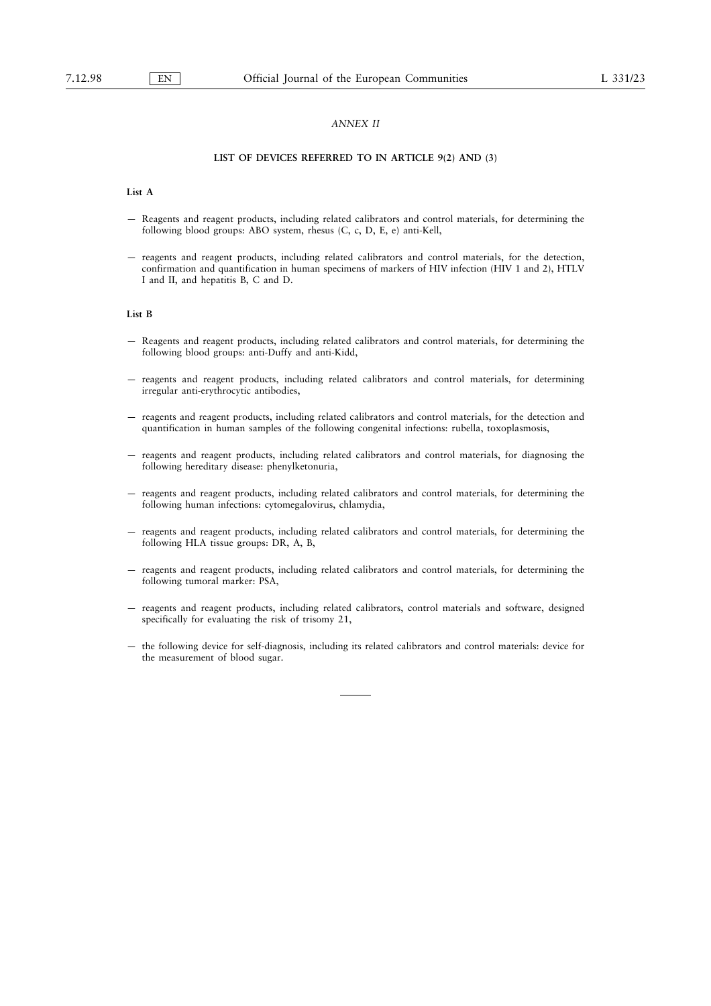# *ANNEX II*

### **LIST OF DEVICES REFERRED TO IN ARTICLE 9(2) AND (3)**

### **List A**

- Reagents and reagent products, including related calibrators and control materials, for determining the following blood groups: ABO system, rhesus (C, c, D, E, e) anti-Kell,
- reagents and reagent products, including related calibrators and control materials, for the detection, confirmation and quantification in human specimens of markers of HIV infection (HIV 1 and 2), HTLV I and II, and hepatitis B, C and D.

#### **List B**

- Reagents and reagent products, including related calibrators and control materials, for determining the following blood groups: anti-Duffy and anti-Kidd,
- reagents and reagent products, including related calibrators and control materials, for determining irregular anti-erythrocytic antibodies,
- reagents and reagent products, including related calibrators and control materials, for the detection and quantification in human samples of the following congenital infections: rubella, toxoplasmosis,
- reagents and reagent products, including related calibrators and control materials, for diagnosing the following hereditary disease: phenylketonuria,
- reagents and reagent products, including related calibrators and control materials, for determining the following human infections: cytomegalovirus, chlamydia,
- reagents and reagent products, including related calibrators and control materials, for determining the following HLA tissue groups: DR, A, B,
- reagents and reagent products, including related calibrators and control materials, for determining the following tumoral marker: PSA,
- reagents and reagent products, including related calibrators, control materials and software, designed specifically for evaluating the risk of trisomy 21,
- the following device for self-diagnosis, including its related calibrators and control materials: device for the measurement of blood sugar.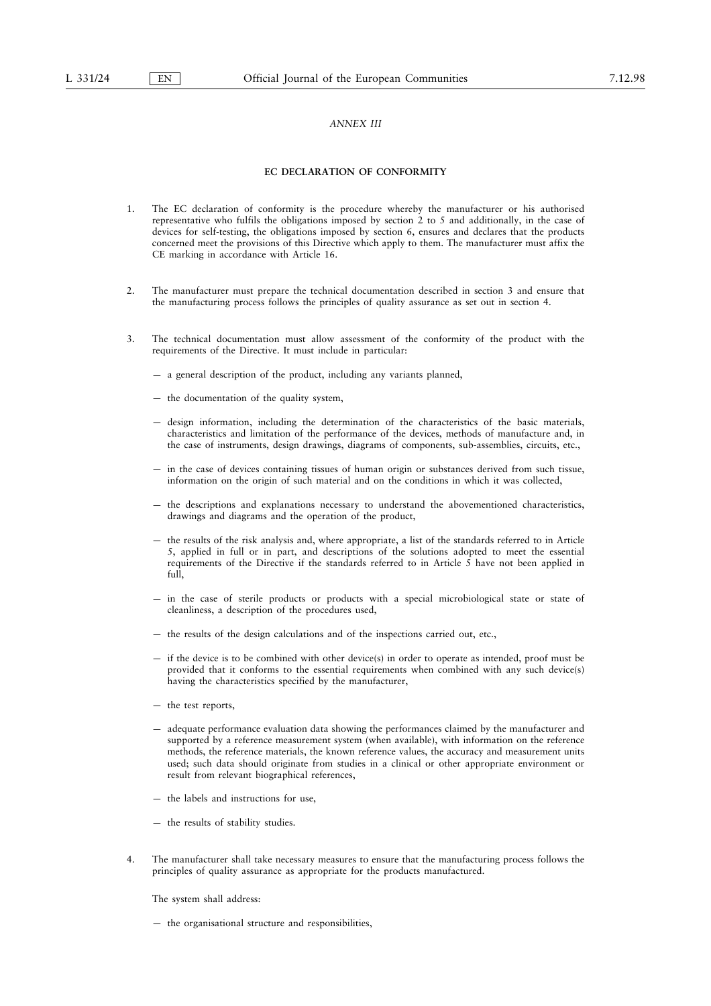# *ANNEX III*

### **EC DECLARATION OF CONFORMITY**

- 1. The EC declaration of conformity is the procedure whereby the manufacturer or his authorised representative who fulfils the obligations imposed by section 2 to 5 and additionally, in the case of devices for self-testing, the obligations imposed by section 6, ensures and declares that the products concerned meet the provisions of this Directive which apply to them. The manufacturer must affix the CE marking in accordance with Article 16.
- 2. The manufacturer must prepare the technical documentation described in section 3 and ensure that the manufacturing process follows the principles of quality assurance as set out in section 4.
- 3. The technical documentation must allow assessment of the conformity of the product with the requirements of the Directive. It must include in particular:
	- a general description of the product, including any variants planned,
	- the documentation of the quality system,
	- design information, including the determination of the characteristics of the basic materials, characteristics and limitation of the performance of the devices, methods of manufacture and, in the case of instruments, design drawings, diagrams of components, sub-assemblies, circuits, etc.,
	- in the case of devices containing tissues of human origin or substances derived from such tissue, information on the origin of such material and on the conditions in which it was collected,
	- the descriptions and explanations necessary to understand the abovementioned characteristics, drawings and diagrams and the operation of the product,
	- the results of the risk analysis and, where appropriate, a list of the standards referred to in Article 5, applied in full or in part, and descriptions of the solutions adopted to meet the essential requirements of the Directive if the standards referred to in Article 5 have not been applied in full,
	- in the case of sterile products or products with a special microbiological state or state of cleanliness, a description of the procedures used,
	- the results of the design calculations and of the inspections carried out, etc.,
	- if the device is to be combined with other device(s) in order to operate as intended, proof must be provided that it conforms to the essential requirements when combined with any such device(s) having the characteristics specified by the manufacturer,
	- the test reports,
	- adequate performance evaluation data showing the performances claimed by the manufacturer and supported by a reference measurement system (when available), with information on the reference methods, the reference materials, the known reference values, the accuracy and measurement units used; such data should originate from studies in a clinical or other appropriate environment or result from relevant biographical references,
	- the labels and instructions for use,
	- the results of stability studies.
- 4. The manufacturer shall take necessary measures to ensure that the manufacturing process follows the principles of quality assurance as appropriate for the products manufactured.

The system shall address:

— the organisational structure and responsibilities,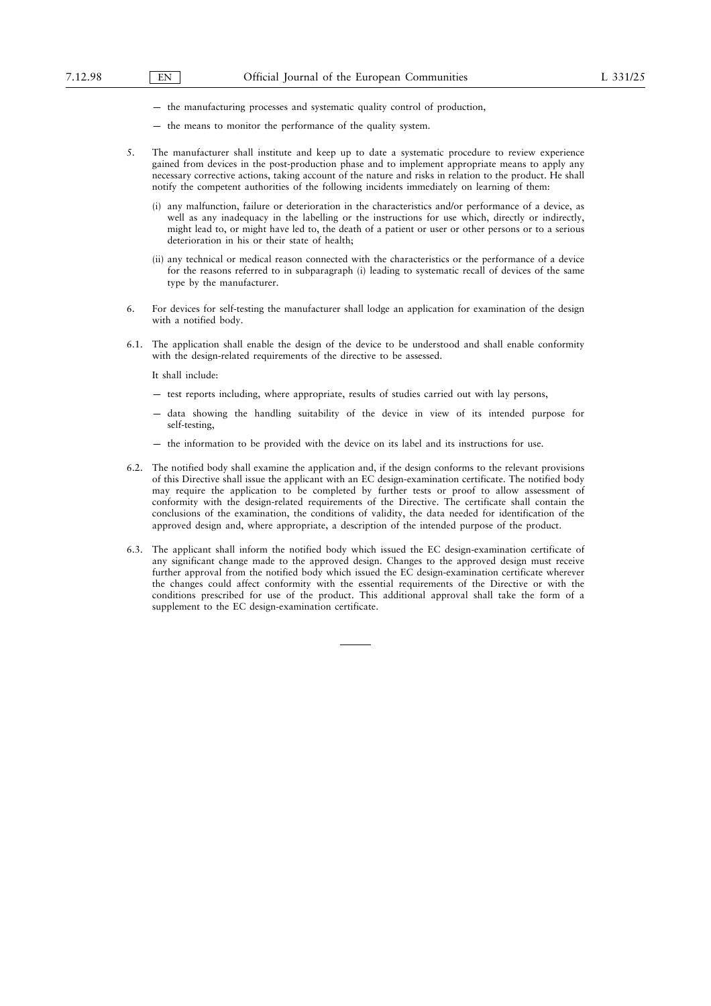- the manufacturing processes and systematic quality control of production,
- the means to monitor the performance of the quality system.
- 5. The manufacturer shall institute and keep up to date a systematic procedure to review experience gained from devices in the post-production phase and to implement appropriate means to apply any necessary corrective actions, taking account of the nature and risks in relation to the product. He shall notify the competent authorities of the following incidents immediately on learning of them:
	- (i) any malfunction, failure or deterioration in the characteristics and/or performance of a device, as well as any inadequacy in the labelling or the instructions for use which, directly or indirectly, might lead to, or might have led to, the death of a patient or user or other persons or to a serious deterioration in his or their state of health;
	- (ii) any technical or medical reason connected with the characteristics or the performance of a device for the reasons referred to in subparagraph (i) leading to systematic recall of devices of the same type by the manufacturer.
- 6. For devices for self-testing the manufacturer shall lodge an application for examination of the design with a notified body.
- 6.1. The application shall enable the design of the device to be understood and shall enable conformity with the design-related requirements of the directive to be assessed.

It shall include:

- test reports including, where appropriate, results of studies carried out with lay persons,
- data showing the handling suitability of the device in view of its intended purpose for self-testing,
- the information to be provided with the device on its label and its instructions for use.
- 6.2. The notified body shall examine the application and, if the design conforms to the relevant provisions of this Directive shall issue the applicant with an EC design-examination certificate. The notified body may require the application to be completed by further tests or proof to allow assessment of conformity with the design-related requirements of the Directive. The certificate shall contain the conclusions of the examination, the conditions of validity, the data needed for identification of the approved design and, where appropriate, a description of the intended purpose of the product.
- 6.3. The applicant shall inform the notified body which issued the EC design-examination certificate of any significant change made to the approved design. Changes to the approved design must receive further approval from the notified body which issued the EC design-examination certificate wherever the changes could affect conformity with the essential requirements of the Directive or with the conditions prescribed for use of the product. This additional approval shall take the form of a supplement to the EC design-examination certificate.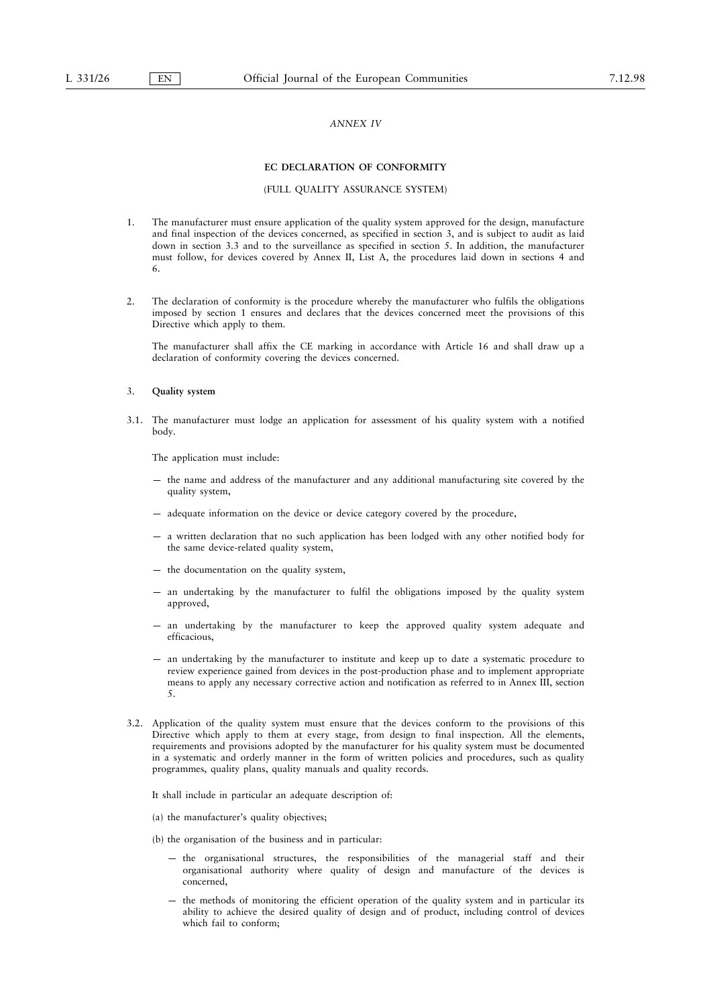## *ANNEX IV*

## **EC DECLARATION OF CONFORMITY**

# (FULL QUALITY ASSURANCE SYSTEM)

- 1. The manufacturer must ensure application of the quality system approved for the design, manufacture and final inspection of the devices concerned, as specified in section 3, and is subject to audit as laid down in section 3.3 and to the surveillance as specified in section 5. In addition, the manufacturer must follow, for devices covered by Annex II, List A, the procedures laid down in sections 4 and 6.
- 2. The declaration of conformity is the procedure whereby the manufacturer who fulfils the obligations imposed by section 1 ensures and declares that the devices concerned meet the provisions of this Directive which apply to them.

The manufacturer shall affix the CE marking in accordance with Article 16 and shall draw up a declaration of conformity covering the devices concerned.

#### 3. **Quality system**

3.1. The manufacturer must lodge an application for assessment of his quality system with a notified body.

The application must include:

- the name and address of the manufacturer and any additional manufacturing site covered by the quality system,
- adequate information on the device or device category covered by the procedure,
- a written declaration that no such application has been lodged with any other notified body for the same device-related quality system,
- the documentation on the quality system,
- an undertaking by the manufacturer to fulfil the obligations imposed by the quality system approved,
- an undertaking by the manufacturer to keep the approved quality system adequate and efficacious,
- an undertaking by the manufacturer to institute and keep up to date a systematic procedure to review experience gained from devices in the post-production phase and to implement appropriate means to apply any necessary corrective action and notification as referred to in Annex III, section 5.
- 3.2. Application of the quality system must ensure that the devices conform to the provisions of this Directive which apply to them at every stage, from design to final inspection. All the elements, requirements and provisions adopted by the manufacturer for his quality system must be documented in a systematic and orderly manner in the form of written policies and procedures, such as quality programmes, quality plans, quality manuals and quality records.
	- It shall include in particular an adequate description of:
	- (a) the manufacturer's quality objectives;
	- (b) the organisation of the business and in particular:
		- the organisational structures, the responsibilities of the managerial staff and their organisational authority where quality of design and manufacture of the devices is concerned,
		- the methods of monitoring the efficient operation of the quality system and in particular its ability to achieve the desired quality of design and of product, including control of devices which fail to conform;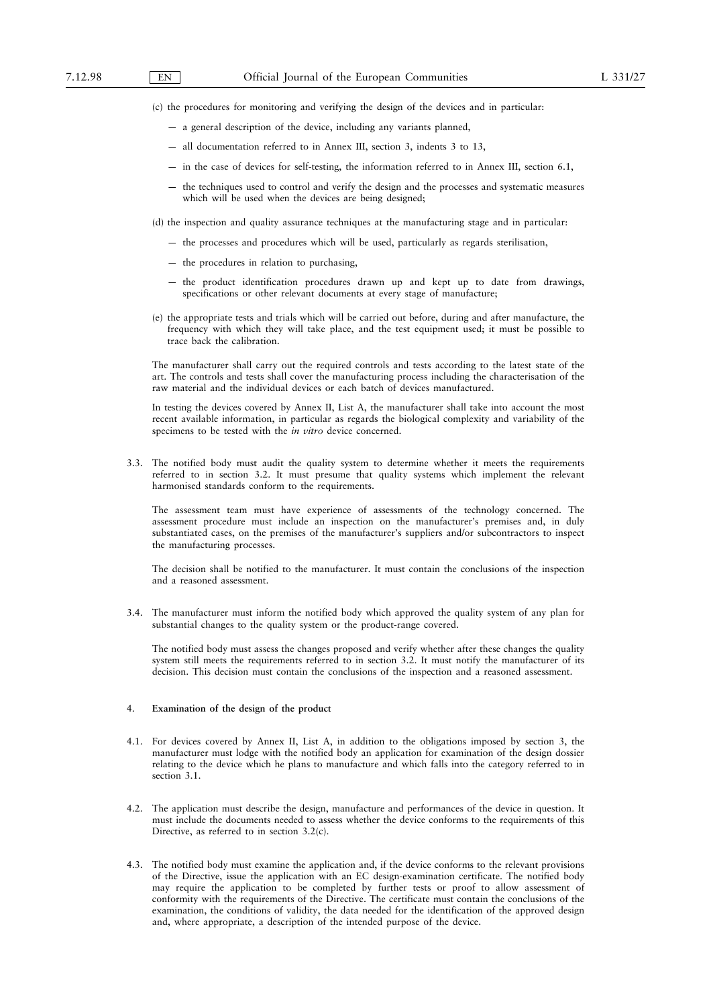(c) the procedures for monitoring and verifying the design of the devices and in particular:

- a general description of the device, including any variants planned,
- all documentation referred to in Annex III, section 3, indents 3 to 13,
- in the case of devices for self-testing, the information referred to in Annex III, section 6.1,
- the techniques used to control and verify the design and the processes and systematic measures which will be used when the devices are being designed;
- (d) the inspection and quality assurance techniques at the manufacturing stage and in particular:
	- the processes and procedures which will be used, particularly as regards sterilisation,
	- the procedures in relation to purchasing,
	- the product identification procedures drawn up and kept up to date from drawings, specifications or other relevant documents at every stage of manufacture;
- (e) the appropriate tests and trials which will be carried out before, during and after manufacture, the frequency with which they will take place, and the test equipment used; it must be possible to trace back the calibration.

The manufacturer shall carry out the required controls and tests according to the latest state of the art. The controls and tests shall cover the manufacturing process including the characterisation of the raw material and the individual devices or each batch of devices manufactured.

In testing the devices covered by Annex II, List A, the manufacturer shall take into account the most recent available information, in particular as regards the biological complexity and variability of the specimens to be tested with the *in vitro* device concerned.

3.3. The notified body must audit the quality system to determine whether it meets the requirements referred to in section 3.2. It must presume that quality systems which implement the relevant harmonised standards conform to the requirements.

The assessment team must have experience of assessments of the technology concerned. The assessment procedure must include an inspection on the manufacturer's premises and, in duly substantiated cases, on the premises of the manufacturer's suppliers and/or subcontractors to inspect the manufacturing processes.

The decision shall be notified to the manufacturer. It must contain the conclusions of the inspection and a reasoned assessment.

3.4. The manufacturer must inform the notified body which approved the quality system of any plan for substantial changes to the quality system or the product-range covered.

The notified body must assess the changes proposed and verify whether after these changes the quality system still meets the requirements referred to in section 3.2. It must notify the manufacturer of its decision. This decision must contain the conclusions of the inspection and a reasoned assessment.

#### 4. **Examination of the design of the product**

- 4.1. For devices covered by Annex II, List A, in addition to the obligations imposed by section 3, the manufacturer must lodge with the notified body an application for examination of the design dossier relating to the device which he plans to manufacture and which falls into the category referred to in section 3.1.
- 4.2. The application must describe the design, manufacture and performances of the device in question. It must include the documents needed to assess whether the device conforms to the requirements of this Directive, as referred to in section 3.2(c).
- 4.3. The notified body must examine the application and, if the device conforms to the relevant provisions of the Directive, issue the application with an EC design-examination certificate. The notified body may require the application to be completed by further tests or proof to allow assessment of conformity with the requirements of the Directive. The certificate must contain the conclusions of the examination, the conditions of validity, the data needed for the identification of the approved design and, where appropriate, a description of the intended purpose of the device.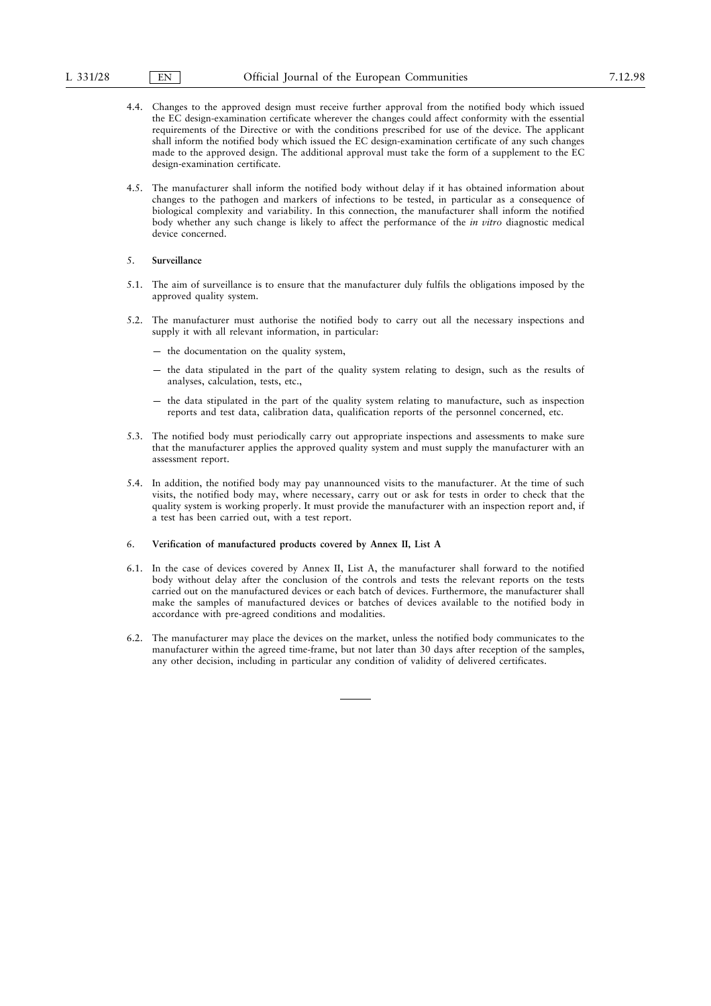- 4.4. Changes to the approved design must receive further approval from the notified body which issued the EC design-examination certificate wherever the changes could affect conformity with the essential requirements of the Directive or with the conditions prescribed for use of the device. The applicant shall inform the notified body which issued the EC design-examination certificate of any such changes made to the approved design. The additional approval must take the form of a supplement to the EC design-examination certificate.
- 4.5. The manufacturer shall inform the notified body without delay if it has obtained information about changes to the pathogen and markers of infections to be tested, in particular as a consequence of biological complexity and variability. In this connection, the manufacturer shall inform the notified body whether any such change is likely to affect the performance of the *in vitro* diagnostic medical device concerned.

#### 5. **Surveillance**

- 5.1. The aim of surveillance is to ensure that the manufacturer duly fulfils the obligations imposed by the approved quality system.
- 5.2. The manufacturer must authorise the notified body to carry out all the necessary inspections and supply it with all relevant information, in particular:
	- the documentation on the quality system,
	- the data stipulated in the part of the quality system relating to design, such as the results of analyses, calculation, tests, etc.,
	- the data stipulated in the part of the quality system relating to manufacture, such as inspection reports and test data, calibration data, qualification reports of the personnel concerned, etc.
- 5.3. The notified body must periodically carry out appropriate inspections and assessments to make sure that the manufacturer applies the approved quality system and must supply the manufacturer with an assessment report.
- 5.4. In addition, the notified body may pay unannounced visits to the manufacturer. At the time of such visits, the notified body may, where necessary, carry out or ask for tests in order to check that the quality system is working properly. It must provide the manufacturer with an inspection report and, if a test has been carried out, with a test report.
- 6. **Verification of manufactured products covered by Annex II, List A**
- 6.1. In the case of devices covered by Annex II, List A, the manufacturer shall forward to the notified body without delay after the conclusion of the controls and tests the relevant reports on the tests carried out on the manufactured devices or each batch of devices. Furthermore, the manufacturer shall make the samples of manufactured devices or batches of devices available to the notified body in accordance with pre-agreed conditions and modalities.
- 6.2. The manufacturer may place the devices on the market, unless the notified body communicates to the manufacturer within the agreed time-frame, but not later than 30 days after reception of the samples, any other decision, including in particular any condition of validity of delivered certificates.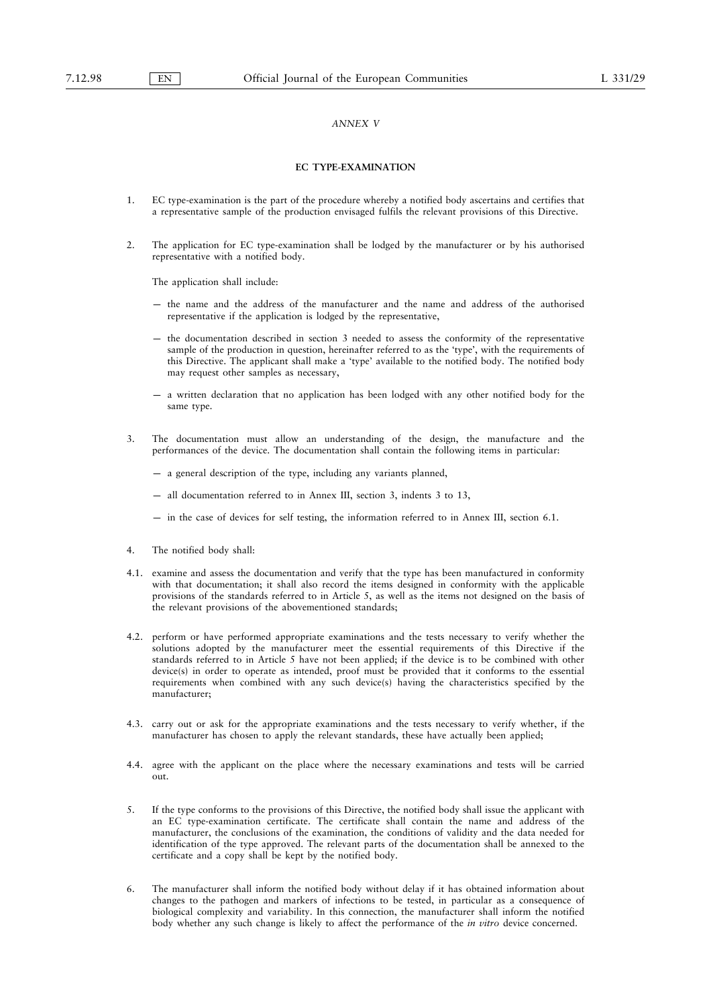# *ANNEX V*

### **EC TYPE-EXAMINATION**

- 1. EC type-examination is the part of the procedure whereby a notified body ascertains and certifies that a representative sample of the production envisaged fulfils the relevant provisions of this Directive.
- 2. The application for EC type-examination shall be lodged by the manufacturer or by his authorised representative with a notified body.

The application shall include:

- the name and the address of the manufacturer and the name and address of the authorised representative if the application is lodged by the representative,
- the documentation described in section 3 needed to assess the conformity of the representative sample of the production in question, hereinafter referred to as the 'type', with the requirements of this Directive. The applicant shall make a 'type' available to the notified body. The notified body may request other samples as necessary,
- a written declaration that no application has been lodged with any other notified body for the same type.
- 3. The documentation must allow an understanding of the design, the manufacture and the performances of the device. The documentation shall contain the following items in particular:
	- a general description of the type, including any variants planned,
	- all documentation referred to in Annex III, section 3, indents 3 to 13,
	- in the case of devices for self testing, the information referred to in Annex III, section 6.1.
- 4. The notified body shall:
- 4.1. examine and assess the documentation and verify that the type has been manufactured in conformity with that documentation; it shall also record the items designed in conformity with the applicable provisions of the standards referred to in Article 5, as well as the items not designed on the basis of the relevant provisions of the abovementioned standards;
- 4.2. perform or have performed appropriate examinations and the tests necessary to verify whether the solutions adopted by the manufacturer meet the essential requirements of this Directive if the standards referred to in Article 5 have not been applied; if the device is to be combined with other device(s) in order to operate as intended, proof must be provided that it conforms to the essential requirements when combined with any such device(s) having the characteristics specified by the manufacturer;
- 4.3. carry out or ask for the appropriate examinations and the tests necessary to verify whether, if the manufacturer has chosen to apply the relevant standards, these have actually been applied;
- 4.4. agree with the applicant on the place where the necessary examinations and tests will be carried out.
- 5. If the type conforms to the provisions of this Directive, the notified body shall issue the applicant with an EC type-examination certificate. The certificate shall contain the name and address of the manufacturer, the conclusions of the examination, the conditions of validity and the data needed for identification of the type approved. The relevant parts of the documentation shall be annexed to the certificate and a copy shall be kept by the notified body.
- 6. The manufacturer shall inform the notified body without delay if it has obtained information about changes to the pathogen and markers of infections to be tested, in particular as a consequence of biological complexity and variability. In this connection, the manufacturer shall inform the notified body whether any such change is likely to affect the performance of the *in vitro* device concerned.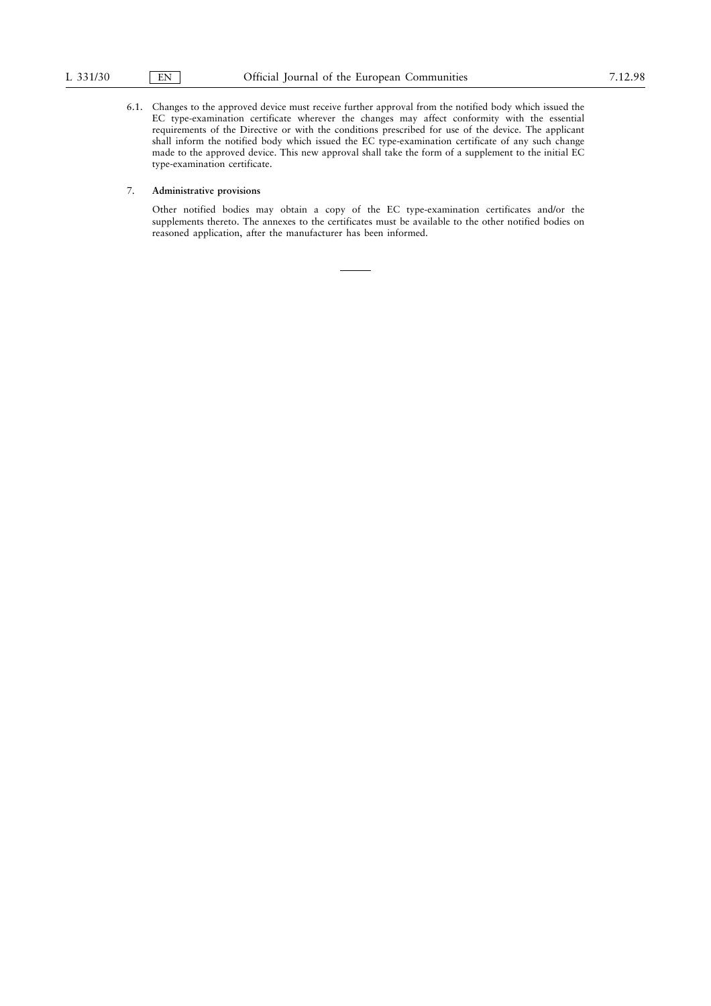6.1. Changes to the approved device must receive further approval from the notified body which issued the EC type-examination certificate wherever the changes may affect conformity with the essential requirements of the Directive or with the conditions prescribed for use of the device. The applicant shall inform the notified body which issued the EC type-examination certificate of any such change made to the approved device. This new approval shall take the form of a supplement to the initial EC type-examination certificate.

## 7. **Administrative provisions**

Other notified bodies may obtain a copy of the EC type-examination certificates and/or the supplements thereto. The annexes to the certificates must be available to the other notified bodies on reasoned application, after the manufacturer has been informed.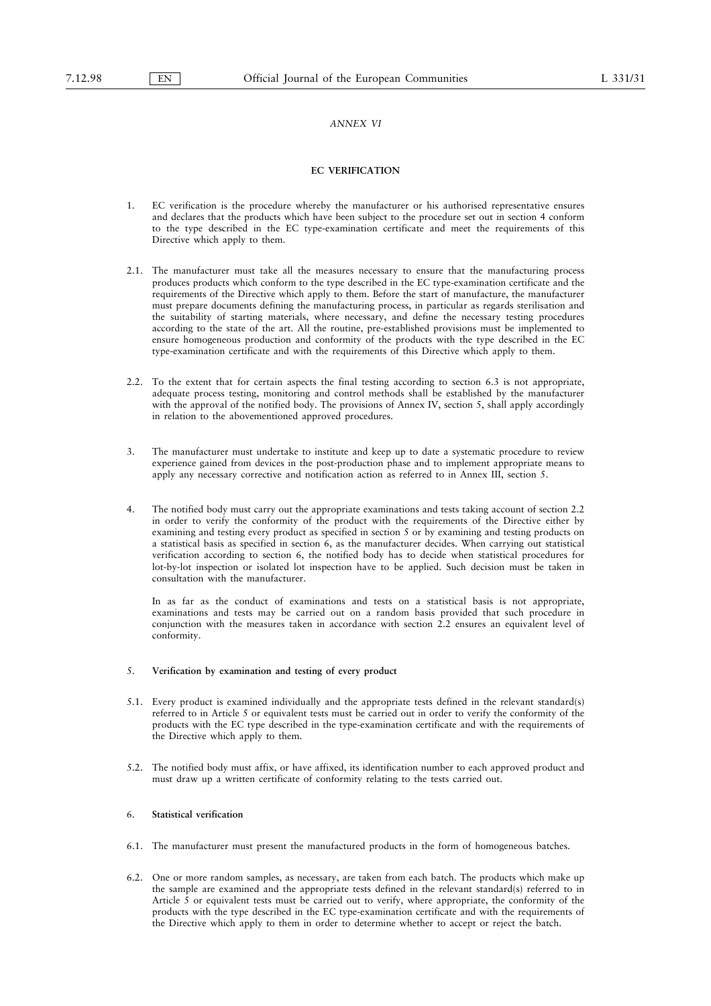# *ANNEX VI*

#### **EC VERIFICATION**

- 1. EC verification is the procedure whereby the manufacturer or his authorised representative ensures and declares that the products which have been subject to the procedure set out in section 4 conform to the type described in the EC type-examination certificate and meet the requirements of this Directive which apply to them.
- 2.1. The manufacturer must take all the measures necessary to ensure that the manufacturing process produces products which conform to the type described in the EC type-examination certificate and the requirements of the Directive which apply to them. Before the start of manufacture, the manufacturer must prepare documents defining the manufacturing process, in particular as regards sterilisation and the suitability of starting materials, where necessary, and define the necessary testing procedures according to the state of the art. All the routine, pre-established provisions must be implemented to ensure homogeneous production and conformity of the products with the type described in the EC type-examination certificate and with the requirements of this Directive which apply to them.
- 2.2. To the extent that for certain aspects the final testing according to section 6.3 is not appropriate, adequate process testing, monitoring and control methods shall be established by the manufacturer with the approval of the notified body. The provisions of Annex IV, section 5, shall apply accordingly in relation to the abovementioned approved procedures.
- 3. The manufacturer must undertake to institute and keep up to date a systematic procedure to review experience gained from devices in the post-production phase and to implement appropriate means to apply any necessary corrective and notification action as referred to in Annex III, section 5.
- 4. The notified body must carry out the appropriate examinations and tests taking account of section 2.2 in order to verify the conformity of the product with the requirements of the Directive either by examining and testing every product as specified in section 5 or by examining and testing products on a statistical basis as specified in section 6, as the manufacturer decides. When carrying out statistical verification according to section 6, the notified body has to decide when statistical procedures for lot-by-lot inspection or isolated lot inspection have to be applied. Such decision must be taken in consultation with the manufacturer.

In as far as the conduct of examinations and tests on a statistical basis is not appropriate, examinations and tests may be carried out on a random basis provided that such procedure in conjunction with the measures taken in accordance with section 2.2 ensures an equivalent level of conformity.

### 5. **Verification by examination and testing of every product**

- 5.1. Every product is examined individually and the appropriate tests defined in the relevant standard(s) referred to in Article 5 or equivalent tests must be carried out in order to verify the conformity of the products with the EC type described in the type-examination certificate and with the requirements of the Directive which apply to them.
- 5.2. The notified body must affix, or have affixed, its identification number to each approved product and must draw up a written certificate of conformity relating to the tests carried out.

#### 6. **Statistical verification**

- 6.1. The manufacturer must present the manufactured products in the form of homogeneous batches.
- 6.2. One or more random samples, as necessary, are taken from each batch. The products which make up the sample are examined and the appropriate tests defined in the relevant standard(s) referred to in Article 5 or equivalent tests must be carried out to verify, where appropriate, the conformity of the products with the type described in the EC type-examination certificate and with the requirements of the Directive which apply to them in order to determine whether to accept or reject the batch.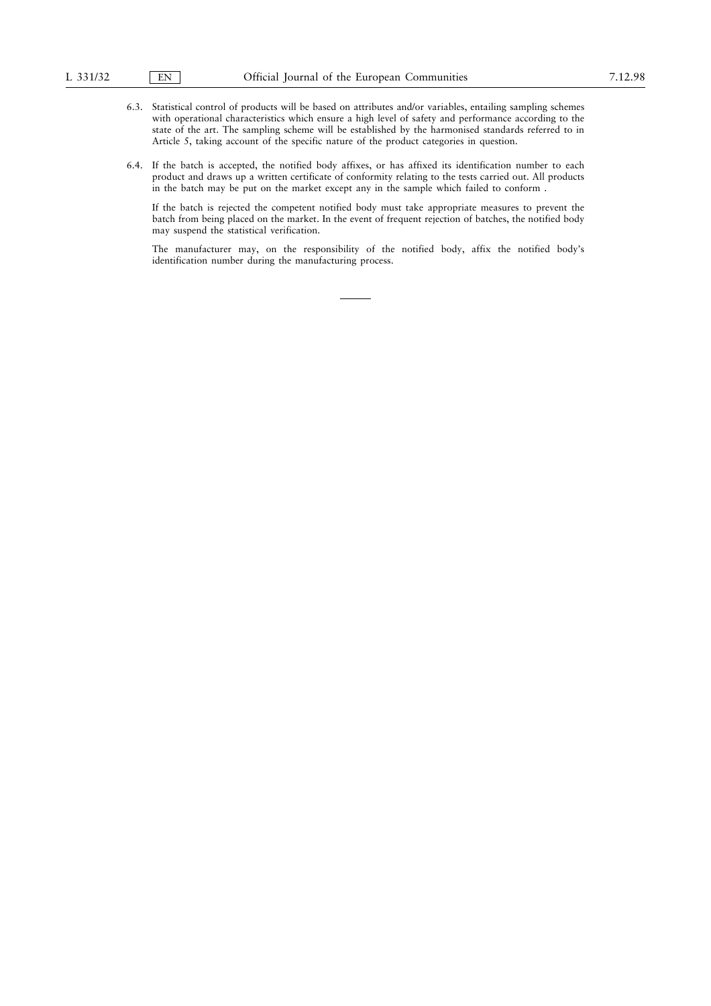- 6.3. Statistical control of products will be based on attributes and/or variables, entailing sampling schemes with operational characteristics which ensure a high level of safety and performance according to the state of the art. The sampling scheme will be established by the harmonised standards referred to in Article 5, taking account of the specific nature of the product categories in question.
- 6.4. If the batch is accepted, the notified body affixes, or has affixed its identification number to each product and draws up a written certificate of conformity relating to the tests carried out. All products in the batch may be put on the market except any in the sample which failed to conform .

If the batch is rejected the competent notified body must take appropriate measures to prevent the batch from being placed on the market. In the event of frequent rejection of batches, the notified body may suspend the statistical verification.

The manufacturer may, on the responsibility of the notified body, affix the notified body's identification number during the manufacturing process.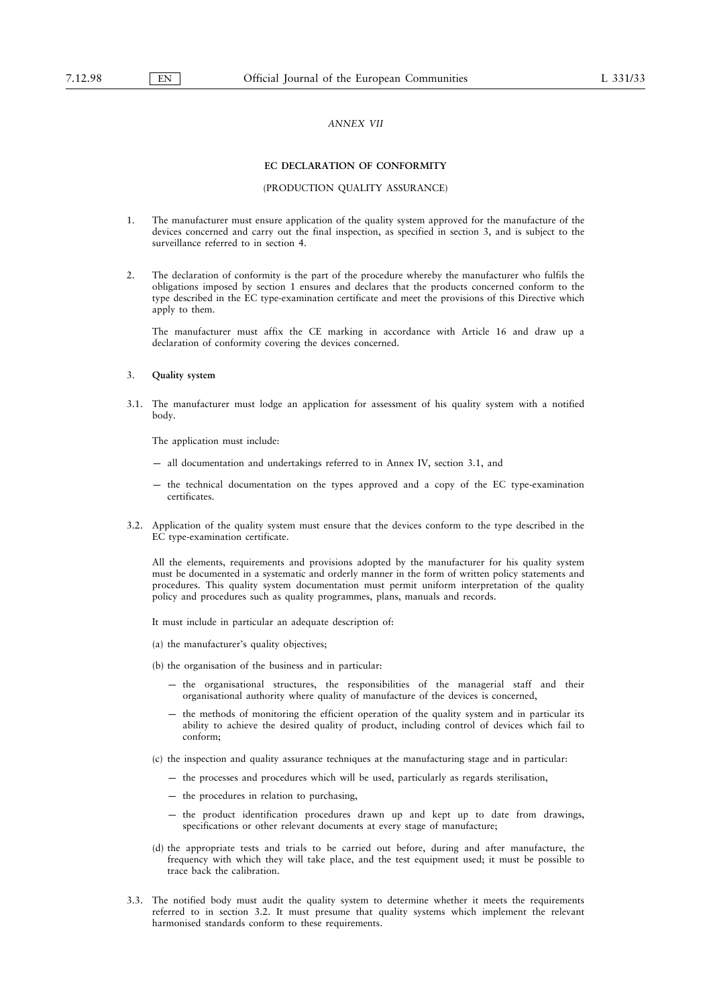# *ANNEX VII*

# **EC DECLARATION OF CONFORMITY**

### (PRODUCTION QUALITY ASSURANCE)

- 1. The manufacturer must ensure application of the quality system approved for the manufacture of the devices concerned and carry out the final inspection, as specified in section 3, and is subject to the surveillance referred to in section 4.
- 2. The declaration of conformity is the part of the procedure whereby the manufacturer who fulfils the obligations imposed by section 1 ensures and declares that the products concerned conform to the type described in the EC type-examination certificate and meet the provisions of this Directive which apply to them.

The manufacturer must affix the CE marking in accordance with Article 16 and draw up a declaration of conformity covering the devices concerned.

#### 3. **Quality system**

3.1. The manufacturer must lodge an application for assessment of his quality system with a notified body.

The application must include:

- all documentation and undertakings referred to in Annex IV, section 3.1, and
- the technical documentation on the types approved and a copy of the EC type-examination certificates.
- 3.2. Application of the quality system must ensure that the devices conform to the type described in the EC type-examination certificate.

All the elements, requirements and provisions adopted by the manufacturer for his quality system must be documented in a systematic and orderly manner in the form of written policy statements and procedures. This quality system documentation must permit uniform interpretation of the quality policy and procedures such as quality programmes, plans, manuals and records.

It must include in particular an adequate description of:

- (a) the manufacturer's quality objectives;
- (b) the organisation of the business and in particular:
	- the organisational structures, the responsibilities of the managerial staff and their organisational authority where quality of manufacture of the devices is concerned,
	- the methods of monitoring the efficient operation of the quality system and in particular its ability to achieve the desired quality of product, including control of devices which fail to conform;
- (c) the inspection and quality assurance techniques at the manufacturing stage and in particular:
	- the processes and procedures which will be used, particularly as regards sterilisation,
	- the procedures in relation to purchasing,
	- the product identification procedures drawn up and kept up to date from drawings, specifications or other relevant documents at every stage of manufacture;
- (d) the appropriate tests and trials to be carried out before, during and after manufacture, the frequency with which they will take place, and the test equipment used; it must be possible to trace back the calibration.
- 3.3. The notified body must audit the quality system to determine whether it meets the requirements referred to in section 3.2. It must presume that quality systems which implement the relevant harmonised standards conform to these requirements.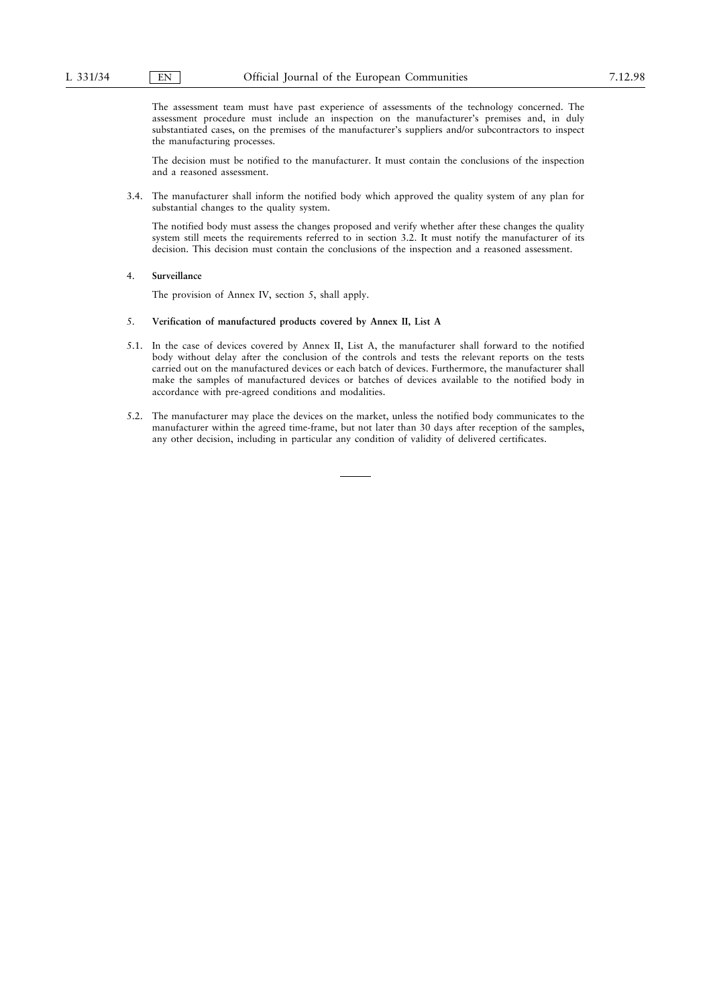The assessment team must have past experience of assessments of the technology concerned. The assessment procedure must include an inspection on the manufacturer's premises and, in duly substantiated cases, on the premises of the manufacturer's suppliers and/or subcontractors to inspect the manufacturing processes.

The decision must be notified to the manufacturer. It must contain the conclusions of the inspection and a reasoned assessment.

3.4. The manufacturer shall inform the notified body which approved the quality system of any plan for substantial changes to the quality system.

The notified body must assess the changes proposed and verify whether after these changes the quality system still meets the requirements referred to in section 3.2. It must notify the manufacturer of its decision. This decision must contain the conclusions of the inspection and a reasoned assessment.

4. **Surveillance**

The provision of Annex IV, section 5, shall apply.

### 5. **Verification of manufactured products covered by Annex II, List A**

- 5.1. In the case of devices covered by Annex II, List A, the manufacturer shall forward to the notified body without delay after the conclusion of the controls and tests the relevant reports on the tests carried out on the manufactured devices or each batch of devices. Furthermore, the manufacturer shall make the samples of manufactured devices or batches of devices available to the notified body in accordance with pre-agreed conditions and modalities.
- 5.2. The manufacturer may place the devices on the market, unless the notified body communicates to the manufacturer within the agreed time-frame, but not later than 30 days after reception of the samples, any other decision, including in particular any condition of validity of delivered certificates.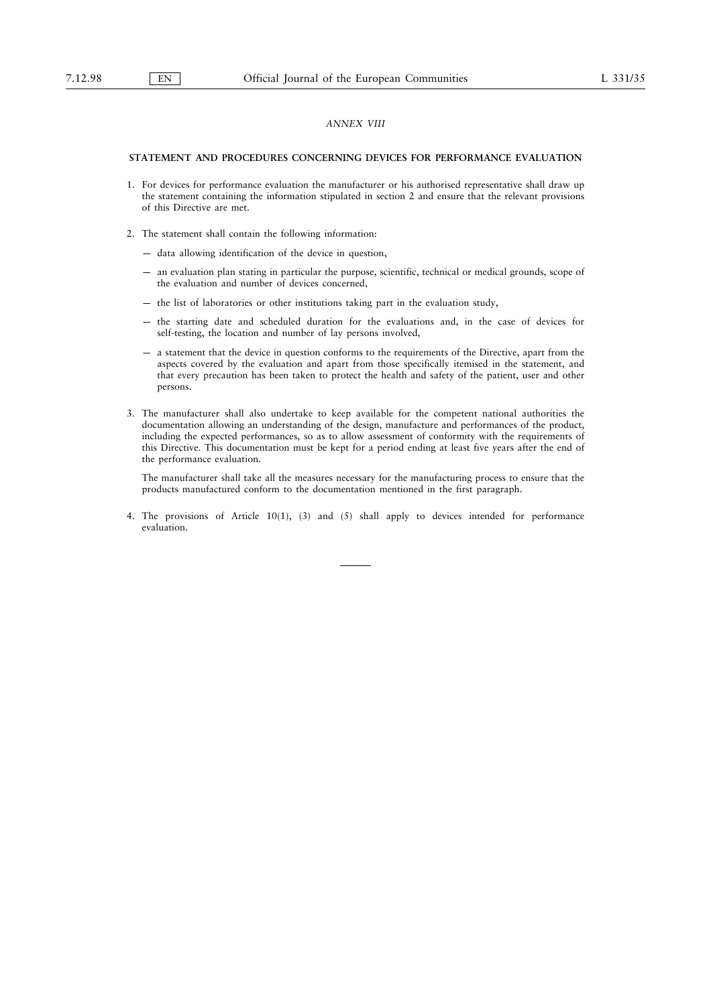## *ANNEX VIII*

#### **STATEMENT AND PROCEDURES CONCERNING DEVICES FOR PERFORMANCE EVALUATION**

- 1. For devices for performance evaluation the manufacturer or his authorised representative shall draw up the statement containing the information stipulated in section 2 and ensure that the relevant provisions of this Directive are met.
- 2. The statement shall contain the following information:
	- data allowing identification of the device in question,
	- an evaluation plan stating in particular the purpose, scientific, technical or medical grounds, scope of the evaluation and number of devices concerned,
	- the list of laboratories or other institutions taking part in the evaluation study,
	- the starting date and scheduled duration for the evaluations and, in the case of devices for self-testing, the location and number of lay persons involved,
	- a statement that the device in question conforms to the requirements of the Directive, apart from the aspects covered by the evaluation and apart from those specifically itemised in the statement, and that every precaution has been taken to protect the health and safety of the patient, user and other persons.
- 3. The manufacturer shall also undertake to keep available for the competent national authorities the documentation allowing an understanding of the design, manufacture and performances of the product, including the expected performances, so as to allow assessment of conformity with the requirements of this Directive. This documentation must be kept for a period ending at least five years after the end of the performance evaluation.

The manufacturer shall take all the measures necessary for the manufacturing process to ensure that the products manufactured conform to the documentation mentioned in the first paragraph.

4. The provisions of Article 10(1), (3) and (5) shall apply to devices intended for performance evaluation.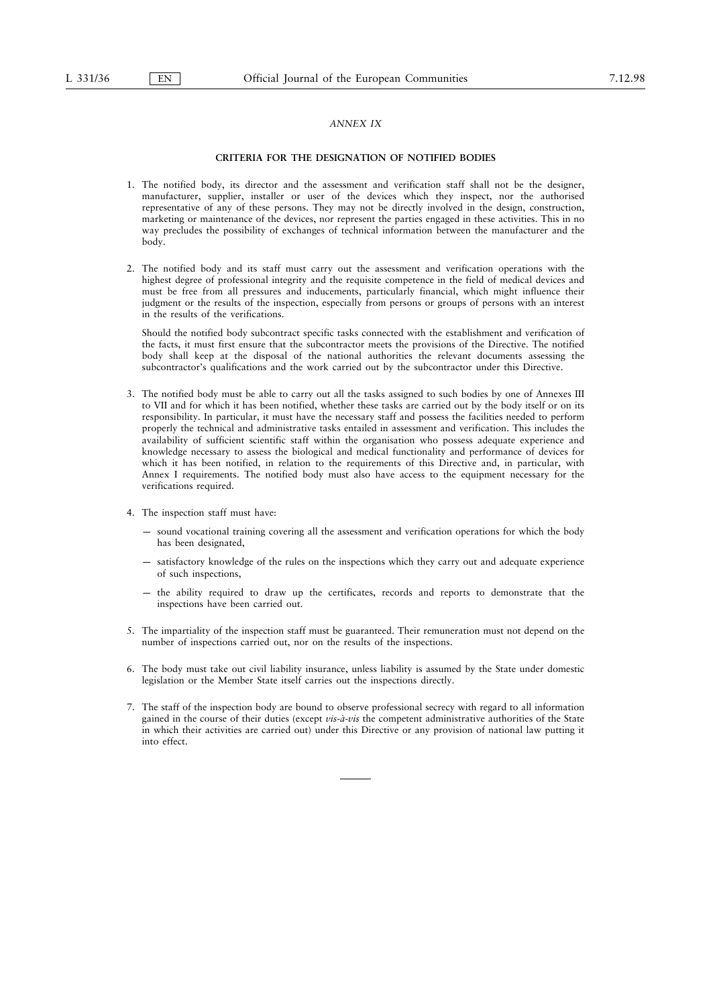# *ANNEX IX*

#### **CRITERIA FOR THE DESIGNATION OF NOTIFIED BODIES**

- 1. The notified body, its director and the assessment and verification staff shall not be the designer, manufacturer, supplier, installer or user of the devices which they inspect, nor the authorised representative of any of these persons. They may not be directly involved in the design, construction, marketing or maintenance of the devices, nor represent the parties engaged in these activities. This in no way precludes the possibility of exchanges of technical information between the manufacturer and the body.
- 2. The notified body and its staff must carry out the assessment and verification operations with the highest degree of professional integrity and the requisite competence in the field of medical devices and must be free from all pressures and inducements, particularly financial, which might influence their judgment or the results of the inspection, especially from persons or groups of persons with an interest in the results of the verifications.

Should the notified body subcontract specific tasks connected with the establishment and verification of the facts, it must first ensure that the subcontractor meets the provisions of the Directive. The notified body shall keep at the disposal of the national authorities the relevant documents assessing the subcontractor's qualifications and the work carried out by the subcontractor under this Directive.

- 3. The notified body must be able to carry out all the tasks assigned to such bodies by one of Annexes III to VII and for which it has been notified, whether these tasks are carried out by the body itself or on its responsibility. In particular, it must have the necessary staff and possess the facilities needed to perform properly the technical and administrative tasks entailed in assessment and verification. This includes the availability of sufficient scientific staff within the organisation who possess adequate experience and knowledge necessary to assess the biological and medical functionality and performance of devices for which it has been notified, in relation to the requirements of this Directive and, in particular, with Annex I requirements. The notified body must also have access to the equipment necessary for the verifications required.
- 4. The inspection staff must have:
	- sound vocational training covering all the assessment and verification operations for which the body has been designated,
	- satisfactory knowledge of the rules on the inspections which they carry out and adequate experience of such inspections,
	- the ability required to draw up the certificates, records and reports to demonstrate that the inspections have been carried out.
- 5. The impartiality of the inspection staff must be guaranteed. Their remuneration must not depend on the number of inspections carried out, nor on the results of the inspections.
- 6. The body must take out civil liability insurance, unless liability is assumed by the State under domestic legislation or the Member State itself carries out the inspections directly.
- 7. The staff of the inspection body are bound to observe professional secrecy with regard to all information gained in the course of their duties (except *vis-à-vis* the competent administrative authorities of the State in which their activities are carried out) under this Directive or any provision of national law putting it into effect.